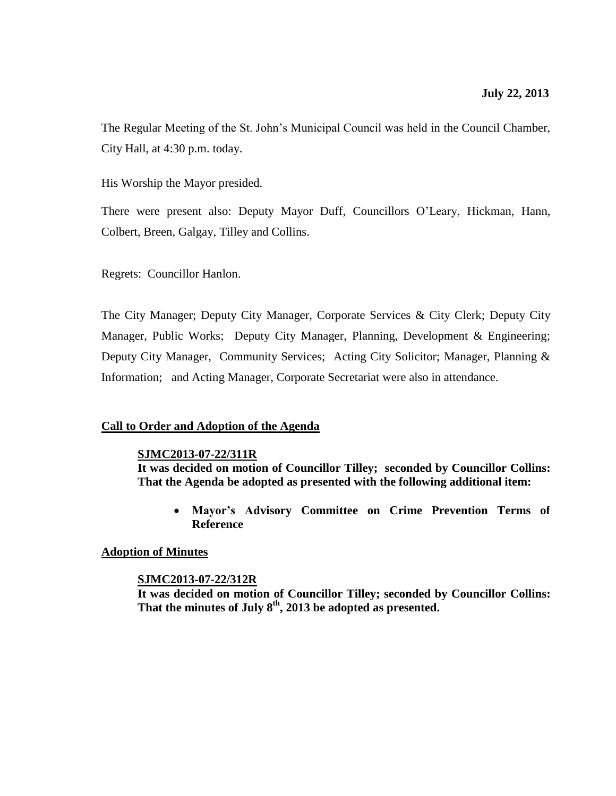The Regular Meeting of the St. John's Municipal Council was held in the Council Chamber, City Hall, at 4:30 p.m. today.

His Worship the Mayor presided.

There were present also: Deputy Mayor Duff, Councillors O'Leary, Hickman, Hann, Colbert, Breen, Galgay, Tilley and Collins.

Regrets: Councillor Hanlon.

The City Manager; Deputy City Manager, Corporate Services & City Clerk; Deputy City Manager, Public Works; Deputy City Manager, Planning, Development & Engineering; Deputy City Manager, Community Services; Acting City Solicitor; Manager, Planning & Information; and Acting Manager, Corporate Secretariat were also in attendance.

## **Call to Order and Adoption of the Agenda**

#### **SJMC2013-07-22/311R**

**It was decided on motion of Councillor Tilley; seconded by Councillor Collins: That the Agenda be adopted as presented with the following additional item:**

 **Mayor's Advisory Committee on Crime Prevention Terms of Reference**

## **Adoption of Minutes**

#### **SJMC2013-07-22/312R**

**It was decided on motion of Councillor Tilley; seconded by Councillor Collins: That the minutes of July 8th , 2013 be adopted as presented.**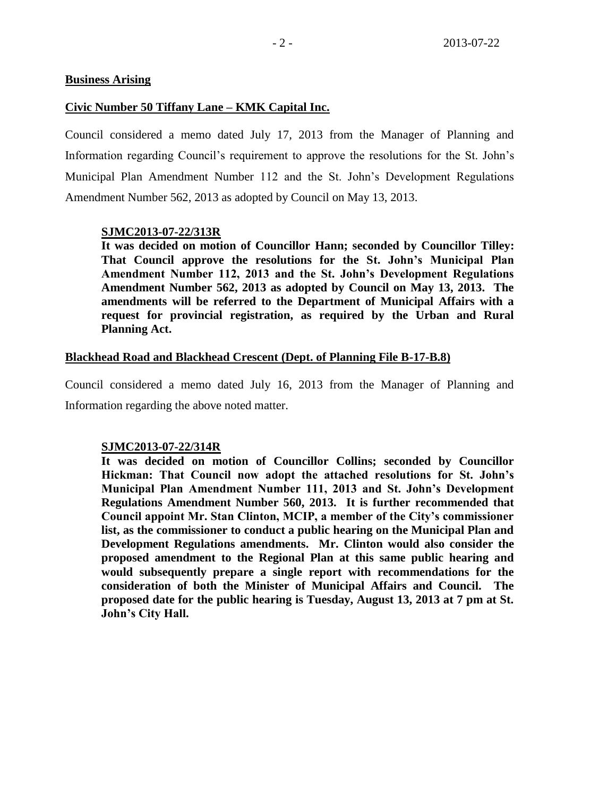#### **Business Arising**

#### **Civic Number 50 Tiffany Lane – KMK Capital Inc.**

Council considered a memo dated July 17, 2013 from the Manager of Planning and Information regarding Council's requirement to approve the resolutions for the St. John's Municipal Plan Amendment Number 112 and the St. John's Development Regulations Amendment Number 562, 2013 as adopted by Council on May 13, 2013.

#### **SJMC2013-07-22/313R**

**It was decided on motion of Councillor Hann; seconded by Councillor Tilley: That Council approve the resolutions for the St. John's Municipal Plan Amendment Number 112, 2013 and the St. John's Development Regulations Amendment Number 562, 2013 as adopted by Council on May 13, 2013. The amendments will be referred to the Department of Municipal Affairs with a request for provincial registration, as required by the Urban and Rural Planning Act.**

#### **Blackhead Road and Blackhead Crescent (Dept. of Planning File B-17-B.8)**

Council considered a memo dated July 16, 2013 from the Manager of Planning and Information regarding the above noted matter.

#### **SJMC2013-07-22/314R**

**It was decided on motion of Councillor Collins; seconded by Councillor Hickman: That Council now adopt the attached resolutions for St. John's Municipal Plan Amendment Number 111, 2013 and St. John's Development Regulations Amendment Number 560, 2013. It is further recommended that Council appoint Mr. Stan Clinton, MCIP, a member of the City's commissioner list, as the commissioner to conduct a public hearing on the Municipal Plan and Development Regulations amendments. Mr. Clinton would also consider the proposed amendment to the Regional Plan at this same public hearing and would subsequently prepare a single report with recommendations for the consideration of both the Minister of Municipal Affairs and Council. The proposed date for the public hearing is Tuesday, August 13, 2013 at 7 pm at St. John's City Hall.**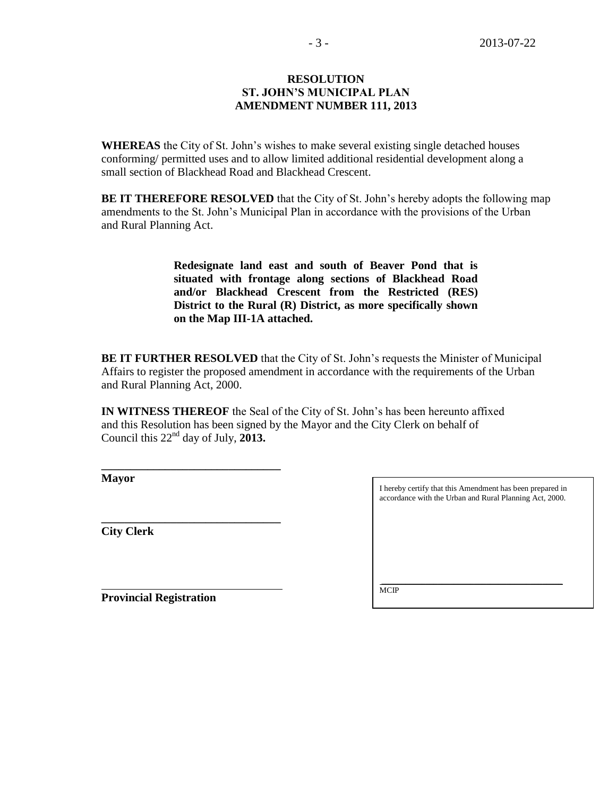#### **RESOLUTION ST. JOHN'S MUNICIPAL PLAN AMENDMENT NUMBER 111, 2013**

**WHEREAS** the City of St. John's wishes to make several existing single detached houses conforming/ permitted uses and to allow limited additional residential development along a small section of Blackhead Road and Blackhead Crescent.

**BE IT THEREFORE RESOLVED** that the City of St. John's hereby adopts the following map amendments to the St. John's Municipal Plan in accordance with the provisions of the Urban and Rural Planning Act.

> **Redesignate land east and south of Beaver Pond that is situated with frontage along sections of Blackhead Road and/or Blackhead Crescent from the Restricted (RES) District to the Rural (R) District, as more specifically shown on the Map III-1A attached.**

**BE IT FURTHER RESOLVED** that the City of St. John's requests the Minister of Municipal Affairs to register the proposed amendment in accordance with the requirements of the Urban and Rural Planning Act, 2000.

**IN WITNESS THEREOF** the Seal of the City of St. John's has been hereunto affixed and this Resolution has been signed by the Mayor and the City Clerk on behalf of Council this 22nd day of July, **2013.**

**Mayor**

**City Clerk**

I hereby certify that this Amendment has been prepared in accordance with the Urban and Rural Planning Act, 2000.

**Provincial Registration**

**\_\_\_\_\_\_\_\_\_\_\_\_\_\_\_\_\_\_\_\_\_\_\_\_\_\_\_\_\_\_\_**

**\_\_\_\_\_\_\_\_\_\_\_\_\_\_\_\_\_\_\_\_\_\_\_\_\_\_\_\_\_\_\_**

\_\_\_\_\_\_\_\_\_\_\_\_\_\_\_\_\_\_\_\_\_\_\_\_\_\_\_\_\_\_\_\_\_\_\_\_\_\_\_\_\_\_\_\_\_ **MCIP**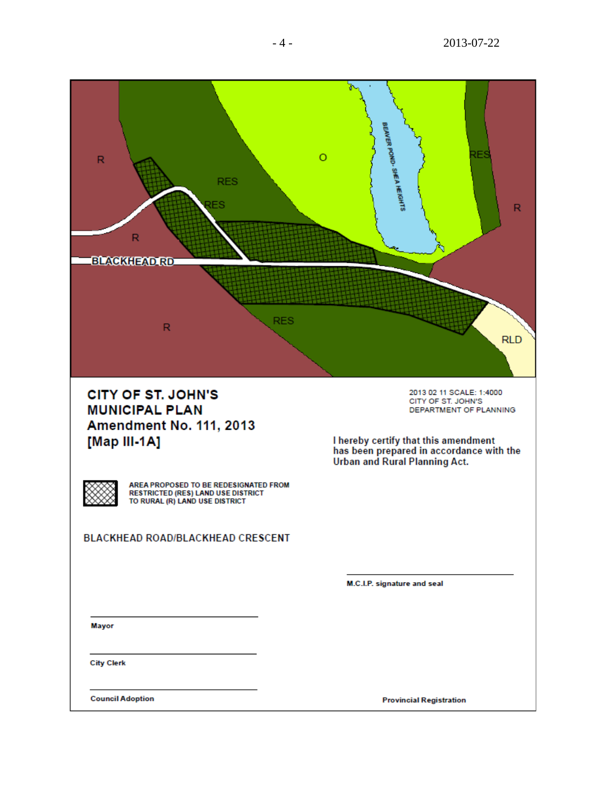

**CITY OF ST. JOHN'S MUNICIPAL PLAN Amendment No. 111, 2013** [Map III-1A]

2013 02 11 SCALE: 1:4000 CITY OF ST. JOHN'S DEPARTMENT OF PLANNING

I hereby certify that this amendment<br>has been prepared in accordance with the Urban and Rural Planning Act.

AREA PROPOSED TO BE REDESIGNATED FROM **RESTRICTED (RES) LAND USE DISTRICT** TO RURAL (R) LAND USE DISTRICT

**BLACKHEAD ROAD/BLACKHEAD CRESCENT** 

M.C.I.P. signature and seal

Mayor

**City Clerk** 

**Council Adoption** 

**Provincial Registration**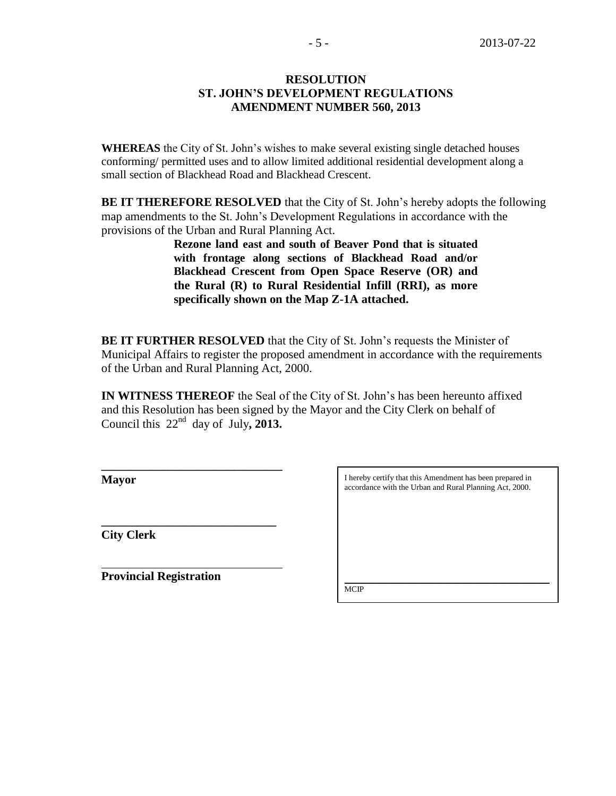#### **RESOLUTION ST. JOHN'S DEVELOPMENT REGULATIONS AMENDMENT NUMBER 560, 2013**

**WHEREAS** the City of St. John's wishes to make several existing single detached houses conforming/ permitted uses and to allow limited additional residential development along a small section of Blackhead Road and Blackhead Crescent.

**BE IT THEREFORE RESOLVED** that the City of St. John's hereby adopts the following map amendments to the St. John's Development Regulations in accordance with the provisions of the Urban and Rural Planning Act.

> **Rezone land east and south of Beaver Pond that is situated with frontage along sections of Blackhead Road and/or Blackhead Crescent from Open Space Reserve (OR) and the Rural (R) to Rural Residential Infill (RRI), as more specifically shown on the Map Z-1A attached.**

**BE IT FURTHER RESOLVED** that the City of St. John's requests the Minister of Municipal Affairs to register the proposed amendment in accordance with the requirements of the Urban and Rural Planning Act, 2000.

**IN WITNESS THEREOF** the Seal of the City of St. John's has been hereunto affixed and this Resolution has been signed by the Mayor and the City Clerk on behalf of Council this  $22<sup>nd</sup>$  day of July, 2013.

**Mayor**

**City Clerk**

**Provincial Registration**

**\_\_\_\_\_\_\_\_\_\_\_\_\_\_\_\_\_\_\_\_\_\_\_\_\_\_\_\_\_\_**

**\_\_\_\_\_\_\_\_\_\_\_\_\_\_\_\_\_\_\_\_\_\_\_\_\_\_\_\_\_** 

I hereby certify that this Amendment has been prepared in accordance with the Urban and Rural Planning Act, 2000.

\_\_\_\_\_\_\_\_\_\_\_\_\_\_\_\_\_\_\_\_\_\_\_\_\_\_\_\_\_\_\_\_\_\_\_\_\_\_\_\_\_\_\_\_\_\_\_\_\_\_\_ **MCIP**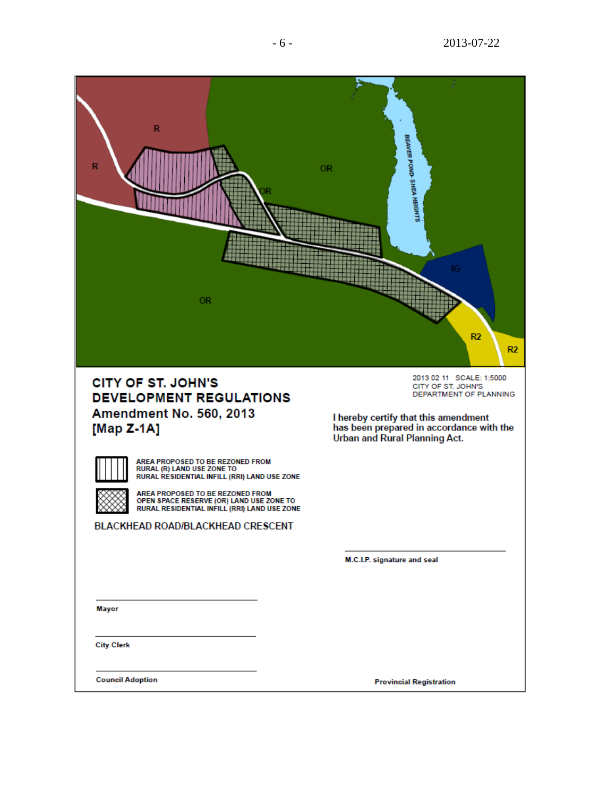

AREA PROPOSED TO BE REZONED FROM<br>RURAL (R) LAND USE ZONE TO RURAL RESIDENTIAL INFILL (RRI) LAND USE ZONE

AREA PROPOSED TO BE REZONED FROM<br>OPEN SPACE RESERVE (OR) LAND USE ZONE TO RURAL RESIDENTIAL INFILL (RRI) LAND USE ZONE

BLACKHEAD ROAD/BLACKHEAD CRESCENT

M.C.I.P. signature and seal

**Mayor** 

**City Clerk** 

**Council Adoption** 

**Provincial Registration**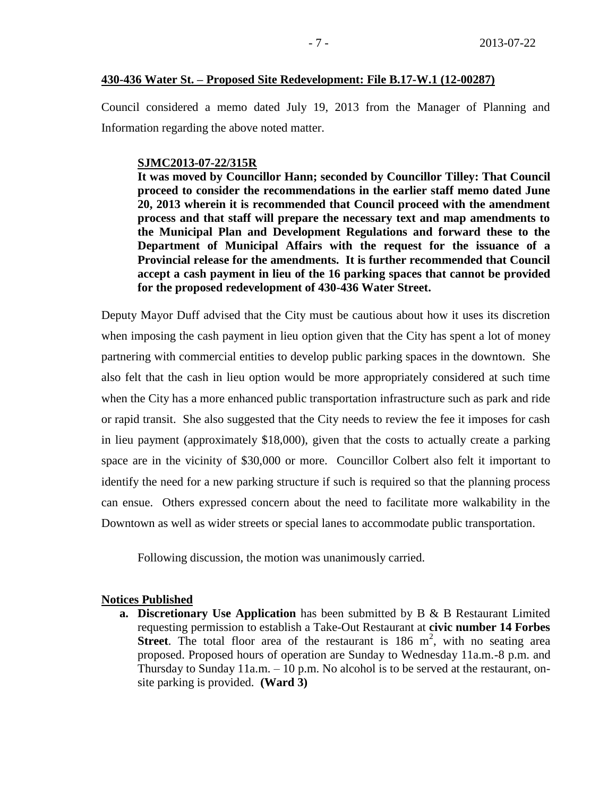#### **430-436 Water St. – Proposed Site Redevelopment: File B.17-W.1 (12-00287)**

Council considered a memo dated July 19, 2013 from the Manager of Planning and Information regarding the above noted matter.

#### **SJMC2013-07-22/315R**

**It was moved by Councillor Hann; seconded by Councillor Tilley: That Council proceed to consider the recommendations in the earlier staff memo dated June 20, 2013 wherein it is recommended that Council proceed with the amendment process and that staff will prepare the necessary text and map amendments to the Municipal Plan and Development Regulations and forward these to the Department of Municipal Affairs with the request for the issuance of a Provincial release for the amendments. It is further recommended that Council accept a cash payment in lieu of the 16 parking spaces that cannot be provided for the proposed redevelopment of 430-436 Water Street.** 

Deputy Mayor Duff advised that the City must be cautious about how it uses its discretion when imposing the cash payment in lieu option given that the City has spent a lot of money partnering with commercial entities to develop public parking spaces in the downtown. She also felt that the cash in lieu option would be more appropriately considered at such time when the City has a more enhanced public transportation infrastructure such as park and ride or rapid transit. She also suggested that the City needs to review the fee it imposes for cash in lieu payment (approximately \$18,000), given that the costs to actually create a parking space are in the vicinity of \$30,000 or more. Councillor Colbert also felt it important to identify the need for a new parking structure if such is required so that the planning process can ensue. Others expressed concern about the need to facilitate more walkability in the Downtown as well as wider streets or special lanes to accommodate public transportation.

Following discussion, the motion was unanimously carried.

#### **Notices Published**

**a. Discretionary Use Application** has been submitted by B & B Restaurant Limited requesting permission to establish a Take-Out Restaurant at **civic number 14 Forbes Street**. The total floor area of the restaurant is  $186 \text{ m}^2$ , with no seating area proposed. Proposed hours of operation are Sunday to Wednesday 11a.m.-8 p.m. and Thursday to Sunday 11a.m. – 10 p.m. No alcohol is to be served at the restaurant, onsite parking is provided. **(Ward 3)**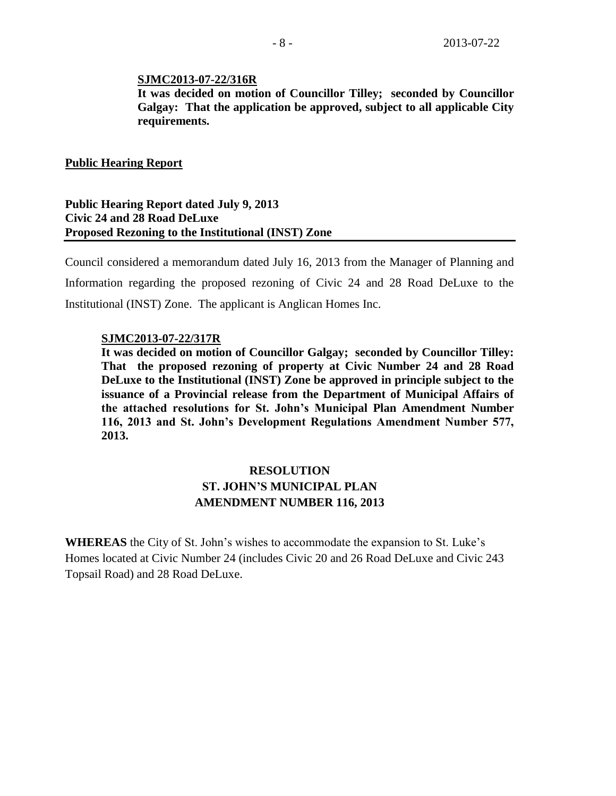#### **SJMC2013-07-22/316R**

**It was decided on motion of Councillor Tilley; seconded by Councillor Galgay: That the application be approved, subject to all applicable City requirements.** 

#### **Public Hearing Report**

## **Public Hearing Report dated July 9, 2013 Civic 24 and 28 Road DeLuxe Proposed Rezoning to the Institutional (INST) Zone**

Council considered a memorandum dated July 16, 2013 from the Manager of Planning and Information regarding the proposed rezoning of Civic 24 and 28 Road DeLuxe to the Institutional (INST) Zone. The applicant is Anglican Homes Inc.

#### **SJMC2013-07-22/317R**

**It was decided on motion of Councillor Galgay; seconded by Councillor Tilley: That the proposed rezoning of property at Civic Number 24 and 28 Road DeLuxe to the Institutional (INST) Zone be approved in principle subject to the issuance of a Provincial release from the Department of Municipal Affairs of the attached resolutions for St. John's Municipal Plan Amendment Number 116, 2013 and St. John's Development Regulations Amendment Number 577, 2013.**

# **RESOLUTION ST. JOHN'S MUNICIPAL PLAN AMENDMENT NUMBER 116, 2013**

**WHEREAS** the City of St. John's wishes to accommodate the expansion to St. Luke's Homes located at Civic Number 24 (includes Civic 20 and 26 Road DeLuxe and Civic 243 Topsail Road) and 28 Road DeLuxe.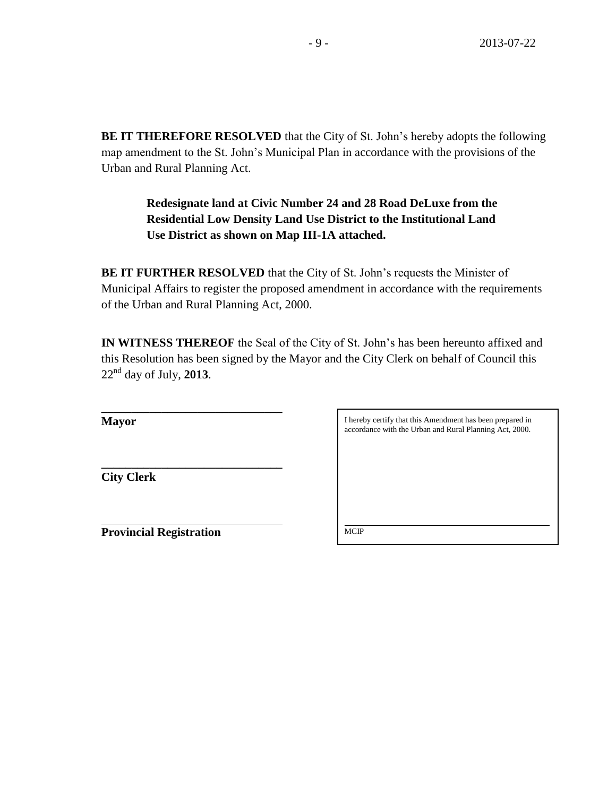**BE IT THEREFORE RESOLVED** that the City of St. John's hereby adopts the following map amendment to the St. John's Municipal Plan in accordance with the provisions of the Urban and Rural Planning Act.

> **Redesignate land at Civic Number 24 and 28 Road DeLuxe from the Residential Low Density Land Use District to the Institutional Land Use District as shown on Map III-1A attached.**

**BE IT FURTHER RESOLVED** that the City of St. John's requests the Minister of Municipal Affairs to register the proposed amendment in accordance with the requirements of the Urban and Rural Planning Act, 2000.

**IN WITNESS THEREOF** the Seal of the City of St. John's has been hereunto affixed and this Resolution has been signed by the Mayor and the City Clerk on behalf of Council this 22 nd day of July, **2013**.

**Mayor**

I hereby certify that this Amendment has been prepared in accordance with the Urban and Rural Planning Act, 2000.

**City Clerk**

**Provincial Registration**

**\_\_\_\_\_\_\_\_\_\_\_\_\_\_\_\_\_\_\_\_\_\_\_\_\_\_\_\_\_\_**

**\_\_\_\_\_\_\_\_\_\_\_\_\_\_\_\_\_\_\_\_\_\_\_\_\_\_\_\_\_\_** 

\_\_\_\_\_\_\_\_\_\_\_\_\_\_\_\_\_\_\_\_\_\_\_\_\_\_\_\_\_\_\_\_\_\_\_\_\_\_\_\_\_\_\_\_\_\_\_\_\_\_\_ **MCIP**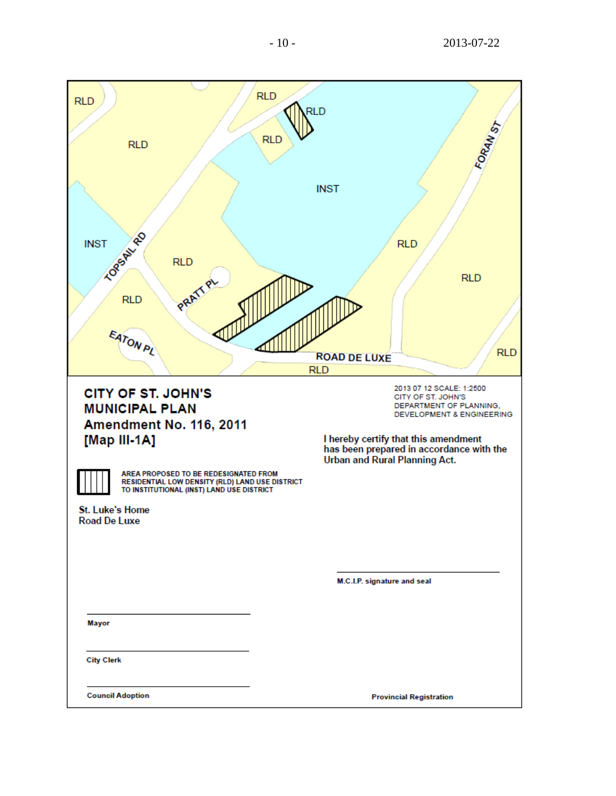| <b>RLD</b><br><b>RLD</b><br><b>INST</b>                                                                                                                                                                                                                                                 | <b>RLD</b><br><b>RLD</b><br><b>RLD</b><br><b>INST</b><br><b>RLD</b>                                                      | FORAN ST                                                                                                          |
|-----------------------------------------------------------------------------------------------------------------------------------------------------------------------------------------------------------------------------------------------------------------------------------------|--------------------------------------------------------------------------------------------------------------------------|-------------------------------------------------------------------------------------------------------------------|
| <b>LOPSAILLED</b><br><b>RLD</b><br>PRATTP<br><b>RLD</b><br>EATON PL                                                                                                                                                                                                                     | <b>ROAD DE LUXE</b><br><b>RLD</b>                                                                                        | <b>RLD</b><br><b>RLD</b>                                                                                          |
| <b>CITY OF ST. JOHN'S</b><br><b>MUNICIPAL PLAN</b><br><b>Amendment No. 116, 2011</b><br>[Map III-1A]<br>AREA PROPOSED TO BE REDESIGNATED FROM<br>RESIDENTIAL LOW DENSITY (RLD) LAND USE DISTRICT<br>TO INSTITUTIONAL (INST) LAND USE DISTRICT<br>St. Luke's Home<br><b>Road De Luxe</b> | I hereby certify that this amendment<br>has been prepared in accordance with the<br><b>Urban and Rural Planning Act.</b> | 2013 07 12 SCALE: 1:2500<br>CITY OF ST. JOHN'S<br>DEPARTMENT OF PLANNING,<br><b>DEVELOPMENT &amp; ENGINEERING</b> |
|                                                                                                                                                                                                                                                                                         | M.C.I.P. signature and seal                                                                                              |                                                                                                                   |
| Mayor                                                                                                                                                                                                                                                                                   |                                                                                                                          |                                                                                                                   |
| <b>City Clerk</b>                                                                                                                                                                                                                                                                       |                                                                                                                          |                                                                                                                   |
| <b>Council Adoption</b>                                                                                                                                                                                                                                                                 | <b>Provincial Registration</b>                                                                                           |                                                                                                                   |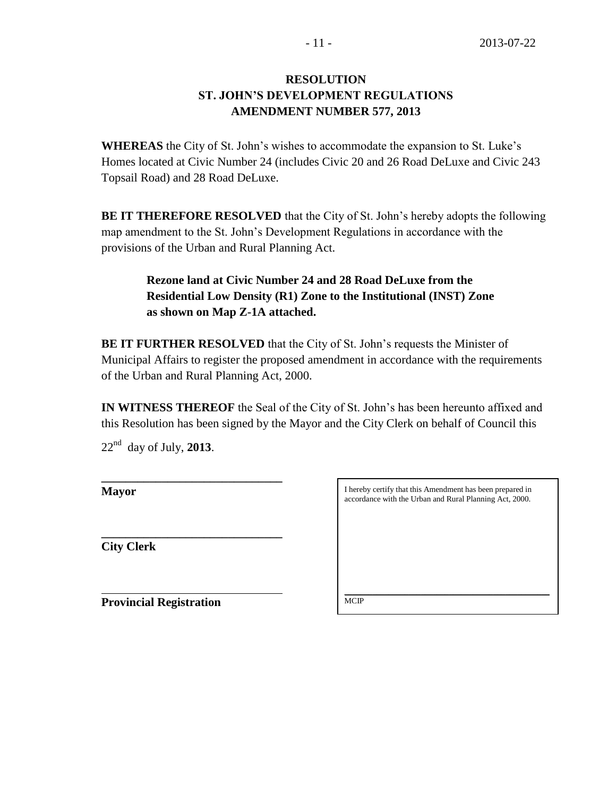## **RESOLUTION ST. JOHN'S DEVELOPMENT REGULATIONS AMENDMENT NUMBER 577, 2013**

**WHEREAS** the City of St. John's wishes to accommodate the expansion to St. Luke's Homes located at Civic Number 24 (includes Civic 20 and 26 Road DeLuxe and Civic 243 Topsail Road) and 28 Road DeLuxe.

**BE IT THEREFORE RESOLVED** that the City of St. John's hereby adopts the following map amendment to the St. John's Development Regulations in accordance with the provisions of the Urban and Rural Planning Act.

# **Rezone land at Civic Number 24 and 28 Road DeLuxe from the Residential Low Density (R1) Zone to the Institutional (INST) Zone as shown on Map Z-1A attached.**

**BE IT FURTHER RESOLVED** that the City of St. John's requests the Minister of Municipal Affairs to register the proposed amendment in accordance with the requirements of the Urban and Rural Planning Act, 2000.

**IN WITNESS THEREOF** the Seal of the City of St. John's has been hereunto affixed and this Resolution has been signed by the Mayor and the City Clerk on behalf of Council this

22nd day of July, **2013**.

**\_\_\_\_\_\_\_\_\_\_\_\_\_\_\_\_\_\_\_\_\_\_\_\_\_\_\_\_\_\_**

**Mayor**

**\_\_\_\_\_\_\_\_\_\_\_\_\_\_\_\_\_\_\_\_\_\_\_\_\_\_\_\_\_\_ City Clerk**

I hereby certify that this Amendment has been prepared in accordance with the Urban and Rural Planning Act, 2000.

**Provincial Registration**

\_\_\_\_\_\_\_\_\_\_\_\_\_\_\_\_\_\_\_\_\_\_\_\_\_\_\_\_\_\_\_\_\_\_\_\_\_\_\_\_\_\_\_\_\_\_\_\_\_\_\_ **MCIP**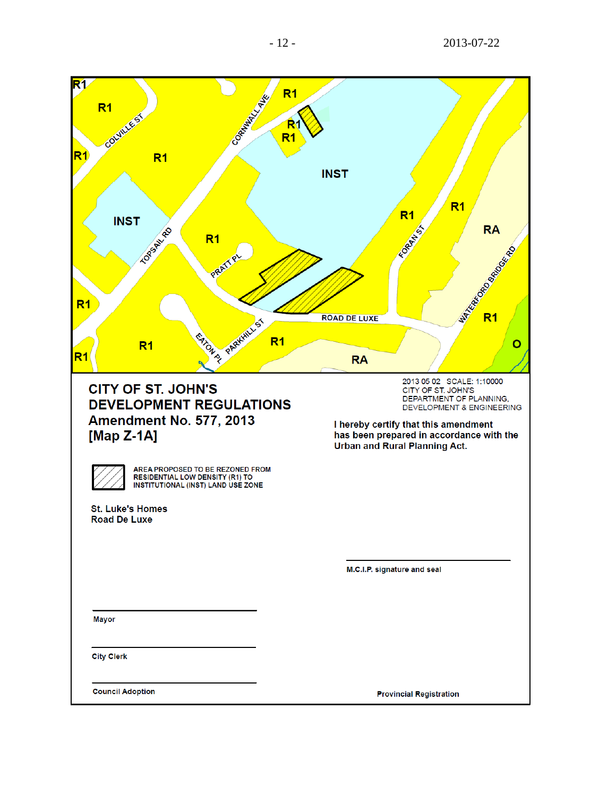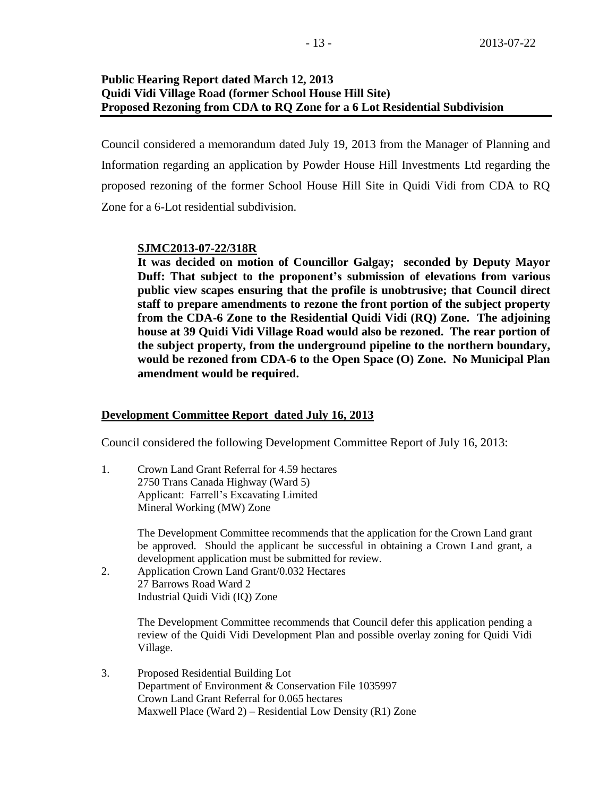## **Public Hearing Report dated March 12, 2013 Quidi Vidi Village Road (former School House Hill Site) Proposed Rezoning from CDA to RQ Zone for a 6 Lot Residential Subdivision**

Council considered a memorandum dated July 19, 2013 from the Manager of Planning and Information regarding an application by Powder House Hill Investments Ltd regarding the proposed rezoning of the former School House Hill Site in Quidi Vidi from CDA to RQ Zone for a 6-Lot residential subdivision.

## **SJMC2013-07-22/318R**

**It was decided on motion of Councillor Galgay; seconded by Deputy Mayor Duff: That subject to the proponent's submission of elevations from various public view scapes ensuring that the profile is unobtrusive; that Council direct staff to prepare amendments to rezone the front portion of the subject property from the CDA-6 Zone to the Residential Quidi Vidi (RQ) Zone. The adjoining house at 39 Quidi Vidi Village Road would also be rezoned. The rear portion of the subject property, from the underground pipeline to the northern boundary, would be rezoned from CDA-6 to the Open Space (O) Zone. No Municipal Plan amendment would be required.** 

## **Development Committee Report dated July 16, 2013**

Council considered the following Development Committee Report of July 16, 2013:

1. Crown Land Grant Referral for 4.59 hectares 2750 Trans Canada Highway (Ward 5) Applicant: Farrell's Excavating Limited Mineral Working (MW) Zone

> The Development Committee recommends that the application for the Crown Land grant be approved. Should the applicant be successful in obtaining a Crown Land grant, a development application must be submitted for review.

2. Application Crown Land Grant/0.032 Hectares 27 Barrows Road Ward 2 Industrial Quidi Vidi (IQ) Zone

> The Development Committee recommends that Council defer this application pending a review of the Quidi Vidi Development Plan and possible overlay zoning for Quidi Vidi Village.

3. Proposed Residential Building Lot Department of Environment & Conservation File 1035997 Crown Land Grant Referral for 0.065 hectares Maxwell Place (Ward 2) – Residential Low Density (R1) Zone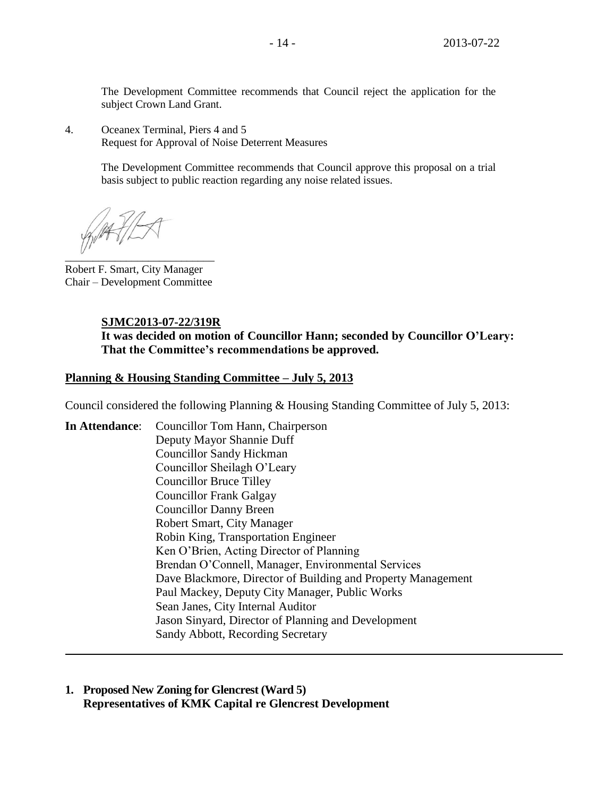The Development Committee recommends that Council reject the application for the subject Crown Land Grant.

4. Oceanex Terminal, Piers 4 and 5 Request for Approval of Noise Deterrent Measures

> The Development Committee recommends that Council approve this proposal on a trial basis subject to public reaction regarding any noise related issues.

 $\overline{\phantom{a}}$ 

Robert F. Smart, City Manager Chair – Development Committee

## **SJMC2013-07-22/319R**

**It was decided on motion of Councillor Hann; seconded by Councillor O'Leary: That the Committee's recommendations be approved.**

#### **Planning & Housing Standing Committee – July 5, 2013**

Council considered the following Planning & Housing Standing Committee of July 5, 2013:

**In Attendance**: Councillor Tom Hann, Chairperson Deputy Mayor Shannie Duff Councillor Sandy Hickman Councillor Sheilagh O'Leary Councillor Bruce Tilley Councillor Frank Galgay Councillor Danny Breen Robert Smart, City Manager Robin King, Transportation Engineer Ken O'Brien, Acting Director of Planning Brendan O'Connell, Manager, Environmental Services Dave Blackmore, Director of Building and Property Management Paul Mackey, Deputy City Manager, Public Works Sean Janes, City Internal Auditor Jason Sinyard, Director of Planning and Development Sandy Abbott, Recording Secretary

**1. Proposed New Zoning for Glencrest (Ward 5) Representatives of KMK Capital re Glencrest Development**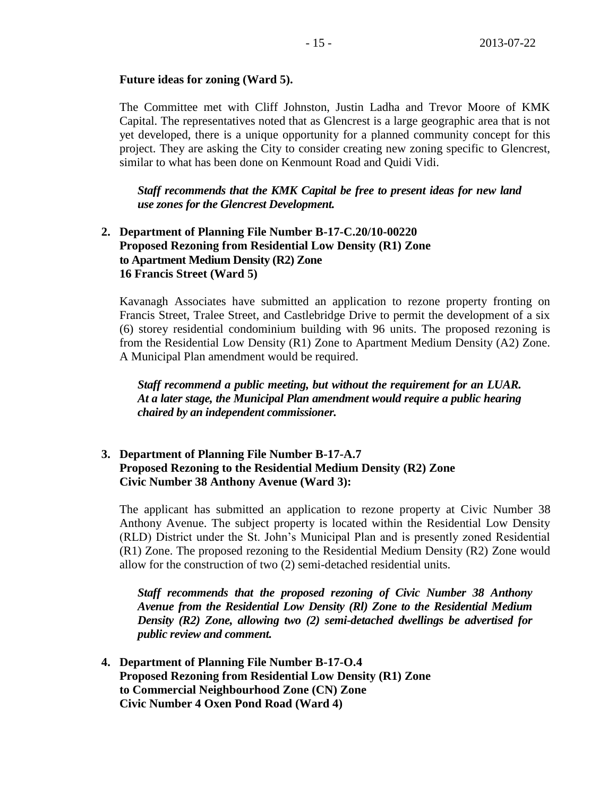## **Future ideas for zoning (Ward 5).**

The Committee met with Cliff Johnston, Justin Ladha and Trevor Moore of KMK Capital. The representatives noted that as Glencrest is a large geographic area that is not yet developed, there is a unique opportunity for a planned community concept for this project. They are asking the City to consider creating new zoning specific to Glencrest, similar to what has been done on Kenmount Road and Quidi Vidi.

*Staff recommends that the KMK Capital be free to present ideas for new land use zones for the Glencrest Development.*

## **2. Department of Planning File Number B-17-C.20/10-00220 Proposed Rezoning from Residential Low Density (R1) Zone to Apartment Medium Density (R2) Zone 16 Francis Street (Ward 5)**

Kavanagh Associates have submitted an application to rezone property fronting on Francis Street, Tralee Street, and Castlebridge Drive to permit the development of a six (6) storey residential condominium building with 96 units. The proposed rezoning is from the Residential Low Density (R1) Zone to Apartment Medium Density (A2) Zone. A Municipal Plan amendment would be required.

*Staff recommend a public meeting, but without the requirement for an LUAR. At a later stage, the Municipal Plan amendment would require a public hearing chaired by an independent commissioner.*

## **3. Department of Planning File Number B-17-A.7 Proposed Rezoning to the Residential Medium Density (R2) Zone Civic Number 38 Anthony Avenue (Ward 3):**

The applicant has submitted an application to rezone property at Civic Number 38 Anthony Avenue. The subject property is located within the Residential Low Density (RLD) District under the St. John's Municipal Plan and is presently zoned Residential (R1) Zone. The proposed rezoning to the Residential Medium Density (R2) Zone would allow for the construction of two (2) semi-detached residential units.

*Staff recommends that the proposed rezoning of Civic Number 38 Anthony Avenue from the Residential Low Density (Rl) Zone to the Residential Medium Density (R2) Zone, allowing two (2) semi-detached dwellings be advertised for public review and comment.*

**4. Department of Planning File Number B-17-O.4 Proposed Rezoning from Residential Low Density (R1) Zone to Commercial Neighbourhood Zone (CN) Zone Civic Number 4 Oxen Pond Road (Ward 4)**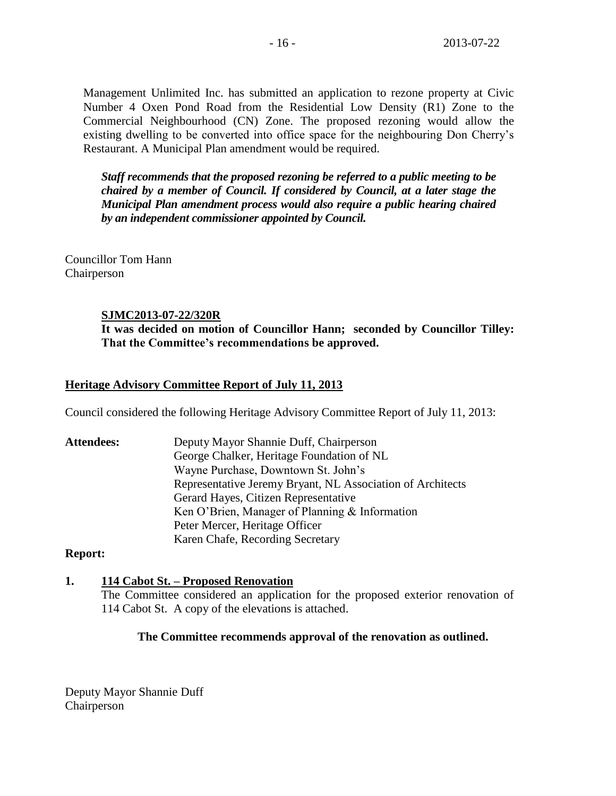Management Unlimited Inc. has submitted an application to rezone property at Civic Number 4 Oxen Pond Road from the Residential Low Density (R1) Zone to the Commercial Neighbourhood (CN) Zone. The proposed rezoning would allow the existing dwelling to be converted into office space for the neighbouring Don Cherry's Restaurant. A Municipal Plan amendment would be required.

*Staff recommends that the proposed rezoning be referred to a public meeting to be chaired by a member of Council. If considered by Council, at a later stage the Municipal Plan amendment process would also require a public hearing chaired by an independent commissioner appointed by Council.*

Councillor Tom Hann Chairperson

#### **SJMC2013-07-22/320R**

**It was decided on motion of Councillor Hann; seconded by Councillor Tilley: That the Committee's recommendations be approved.**

## **Heritage Advisory Committee Report of July 11, 2013**

Council considered the following Heritage Advisory Committee Report of July 11, 2013:

**Attendees:** Deputy Mayor Shannie Duff, Chairperson George Chalker, Heritage Foundation of NL Wayne Purchase, Downtown St. John's Representative Jeremy Bryant, NL Association of Architects Gerard Hayes, Citizen Representative Ken O'Brien, Manager of Planning & Information Peter Mercer, Heritage Officer Karen Chafe, Recording Secretary

#### **Report:**

#### **1. 114 Cabot St. – Proposed Renovation**

The Committee considered an application for the proposed exterior renovation of 114 Cabot St. A copy of the elevations is attached.

#### **The Committee recommends approval of the renovation as outlined.**

Deputy Mayor Shannie Duff Chairperson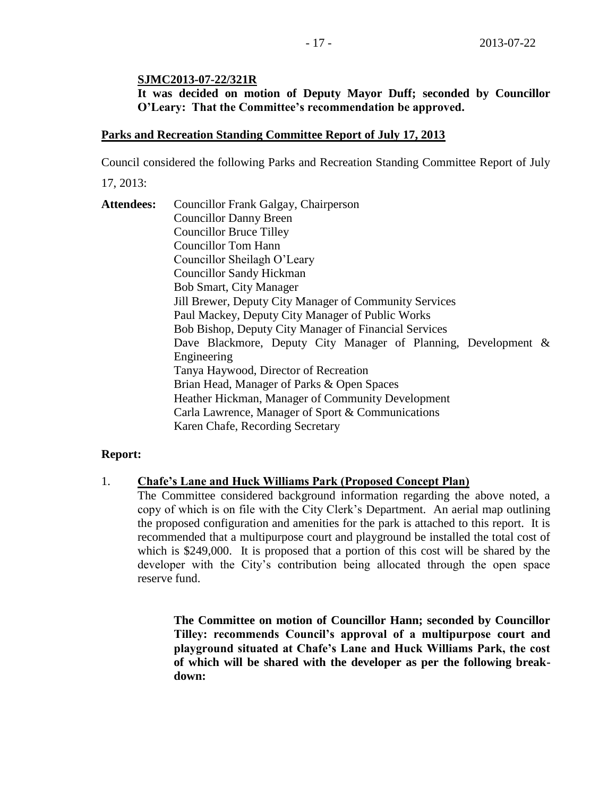## **SJMC2013-07-22/321R**

**It was decided on motion of Deputy Mayor Duff; seconded by Councillor O'Leary: That the Committee's recommendation be approved.**

## **Parks and Recreation Standing Committee Report of July 17, 2013**

Council considered the following Parks and Recreation Standing Committee Report of July

17, 2013:

**Attendees:** Councillor Frank Galgay, Chairperson Councillor Danny Breen Councillor Bruce Tilley Councillor Tom Hann Councillor Sheilagh O'Leary Councillor Sandy Hickman Bob Smart, City Manager Jill Brewer, Deputy City Manager of Community Services Paul Mackey, Deputy City Manager of Public Works Bob Bishop, Deputy City Manager of Financial Services Dave Blackmore, Deputy City Manager of Planning, Development & Engineering Tanya Haywood, Director of Recreation Brian Head, Manager of Parks & Open Spaces Heather Hickman, Manager of Community Development Carla Lawrence, Manager of Sport & Communications Karen Chafe, Recording Secretary

## **Report:**

## 1. **Chafe's Lane and Huck Williams Park (Proposed Concept Plan)**

The Committee considered background information regarding the above noted, a copy of which is on file with the City Clerk's Department. An aerial map outlining the proposed configuration and amenities for the park is attached to this report. It is recommended that a multipurpose court and playground be installed the total cost of which is \$249,000. It is proposed that a portion of this cost will be shared by the developer with the City's contribution being allocated through the open space reserve fund.

> **The Committee on motion of Councillor Hann; seconded by Councillor Tilley: recommends Council's approval of a multipurpose court and playground situated at Chafe's Lane and Huck Williams Park, the cost of which will be shared with the developer as per the following breakdown:**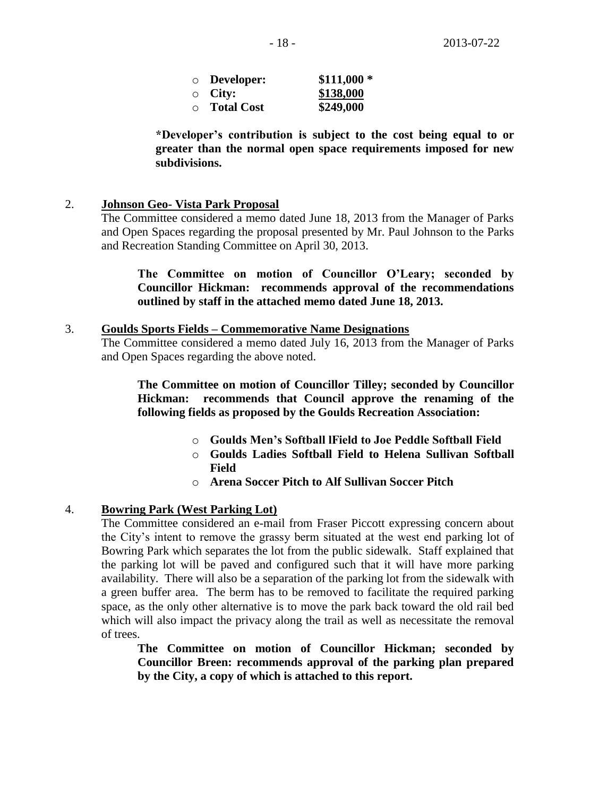| $\circ$ Developer: | $$111,000*$ |
|--------------------|-------------|
| $\circ$ City:      | \$138,000   |
| $\circ$ Total Cost | \$249,000   |

**\*Developer's contribution is subject to the cost being equal to or greater than the normal open space requirements imposed for new subdivisions.**

## 2. **Johnson Geo- Vista Park Proposal**

The Committee considered a memo dated June 18, 2013 from the Manager of Parks and Open Spaces regarding the proposal presented by Mr. Paul Johnson to the Parks and Recreation Standing Committee on April 30, 2013.

## **The Committee on motion of Councillor O'Leary; seconded by Councillor Hickman: recommends approval of the recommendations outlined by staff in the attached memo dated June 18, 2013.**

#### 3. **Goulds Sports Fields – Commemorative Name Designations**

The Committee considered a memo dated July 16, 2013 from the Manager of Parks and Open Spaces regarding the above noted.

**The Committee on motion of Councillor Tilley; seconded by Councillor Hickman: recommends that Council approve the renaming of the following fields as proposed by the Goulds Recreation Association:**

- o **Goulds Men's Softball lField to Joe Peddle Softball Field**
- o **Goulds Ladies Softball Field to Helena Sullivan Softball Field**
- o **Arena Soccer Pitch to Alf Sullivan Soccer Pitch**

## 4. **Bowring Park (West Parking Lot)**

The Committee considered an e-mail from Fraser Piccott expressing concern about the City's intent to remove the grassy berm situated at the west end parking lot of Bowring Park which separates the lot from the public sidewalk. Staff explained that the parking lot will be paved and configured such that it will have more parking availability. There will also be a separation of the parking lot from the sidewalk with a green buffer area. The berm has to be removed to facilitate the required parking space, as the only other alternative is to move the park back toward the old rail bed which will also impact the privacy along the trail as well as necessitate the removal of trees.

**The Committee on motion of Councillor Hickman; seconded by Councillor Breen: recommends approval of the parking plan prepared by the City, a copy of which is attached to this report.**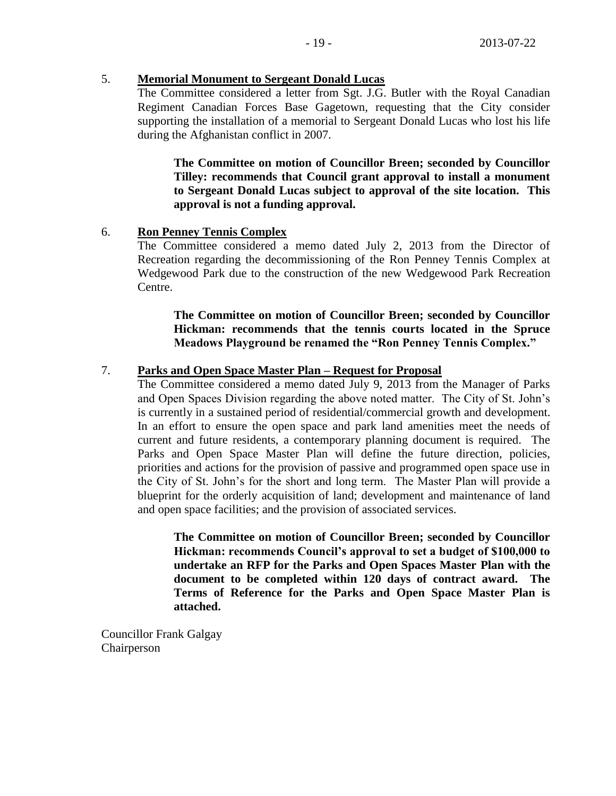## 5. **Memorial Monument to Sergeant Donald Lucas**

The Committee considered a letter from Sgt. J.G. Butler with the Royal Canadian Regiment Canadian Forces Base Gagetown, requesting that the City consider supporting the installation of a memorial to Sergeant Donald Lucas who lost his life during the Afghanistan conflict in 2007.

**The Committee on motion of Councillor Breen; seconded by Councillor Tilley: recommends that Council grant approval to install a monument to Sergeant Donald Lucas subject to approval of the site location. This approval is not a funding approval.**

#### 6. **Ron Penney Tennis Complex**

The Committee considered a memo dated July 2, 2013 from the Director of Recreation regarding the decommissioning of the Ron Penney Tennis Complex at Wedgewood Park due to the construction of the new Wedgewood Park Recreation Centre.

## **The Committee on motion of Councillor Breen; seconded by Councillor Hickman: recommends that the tennis courts located in the Spruce Meadows Playground be renamed the "Ron Penney Tennis Complex."**

## 7. **Parks and Open Space Master Plan – Request for Proposal**

The Committee considered a memo dated July 9, 2013 from the Manager of Parks and Open Spaces Division regarding the above noted matter. The City of St. John's is currently in a sustained period of residential/commercial growth and development. In an effort to ensure the open space and park land amenities meet the needs of current and future residents, a contemporary planning document is required. The Parks and Open Space Master Plan will define the future direction, policies, priorities and actions for the provision of passive and programmed open space use in the City of St. John's for the short and long term. The Master Plan will provide a blueprint for the orderly acquisition of land; development and maintenance of land and open space facilities; and the provision of associated services.

**The Committee on motion of Councillor Breen; seconded by Councillor Hickman: recommends Council's approval to set a budget of \$100,000 to undertake an RFP for the Parks and Open Spaces Master Plan with the document to be completed within 120 days of contract award. The Terms of Reference for the Parks and Open Space Master Plan is attached.**

Councillor Frank Galgay Chairperson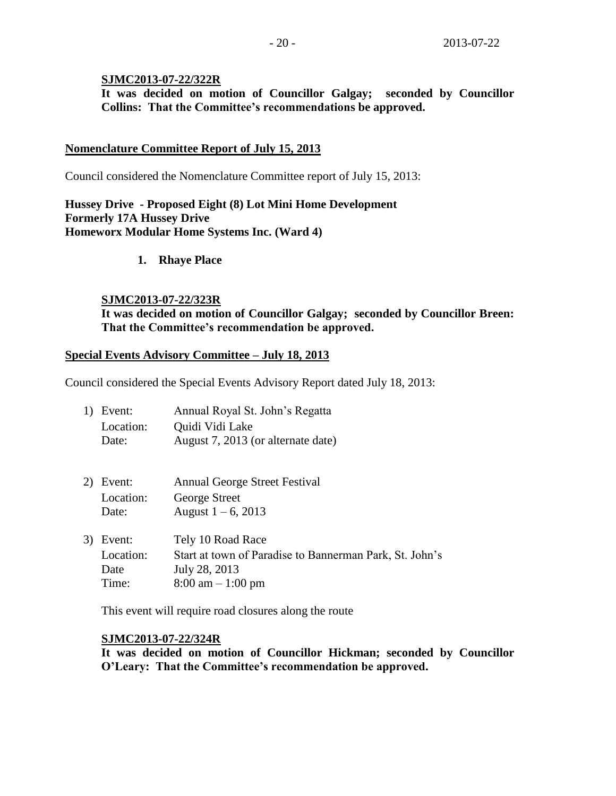#### **SJMC2013-07-22/322R**

**It was decided on motion of Councillor Galgay; seconded by Councillor Collins: That the Committee's recommendations be approved.**

## **Nomenclature Committee Report of July 15, 2013**

Council considered the Nomenclature Committee report of July 15, 2013:

## **Hussey Drive - Proposed Eight (8) Lot Mini Home Development Formerly 17A Hussey Drive Homeworx Modular Home Systems Inc. (Ward 4)**

**1. Rhaye Place**

#### **SJMC2013-07-22/323R**

**It was decided on motion of Councillor Galgay; seconded by Councillor Breen: That the Committee's recommendation be approved.**

#### **Special Events Advisory Committee – July 18, 2013**

Council considered the Special Events Advisory Report dated July 18, 2013:

| 1) Event: | Annual Royal St. John's Regatta    |
|-----------|------------------------------------|
| Location: | Quidi Vidi Lake                    |
| Date:     | August 7, 2013 (or alternate date) |

- 2) Event: Annual George Street Festival Location: George Street Date: August  $1 - 6$ , 2013
- 3) Event: Tely 10 Road Race Location: Start at town of Paradise to Bannerman Park, St. John's Date July 28, 2013 Time: 8:00 am – 1:00 pm

This event will require road closures along the route

#### **SJMC2013-07-22/324R**

**It was decided on motion of Councillor Hickman; seconded by Councillor O'Leary: That the Committee's recommendation be approved.**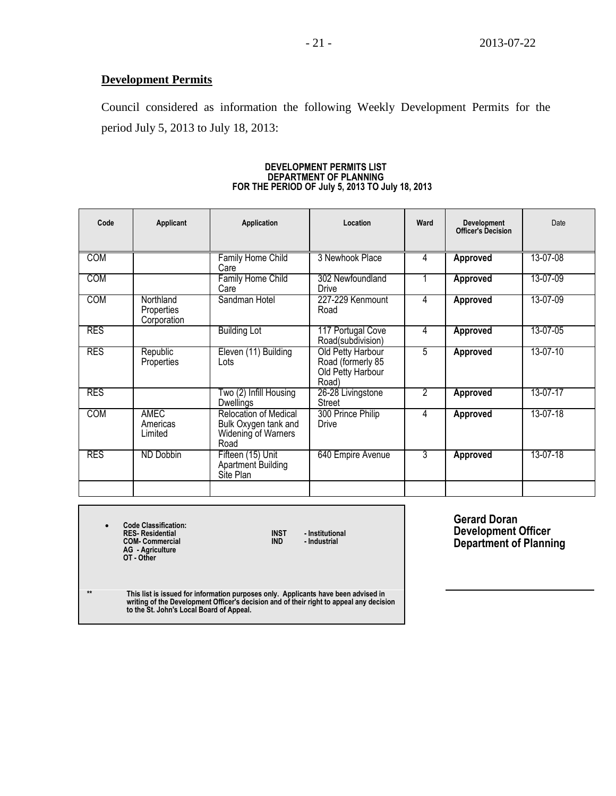## **Development Permits**

Council considered as information the following Weekly Development Permits for the period July 5, 2013 to July 18, 2013:

| Code       | Applicant                              | Application                                                                  | Location                                                             | Ward | <b>Development</b><br><b>Officer's Decision</b> | Date     |
|------------|----------------------------------------|------------------------------------------------------------------------------|----------------------------------------------------------------------|------|-------------------------------------------------|----------|
| <b>COM</b> |                                        | Family Home Child<br>Care                                                    | 3 Newhook Place                                                      | 4    | <b>Approved</b>                                 | 13-07-08 |
| <b>COM</b> |                                        | <b>Family Home Child</b><br>Care                                             | 302 Newfoundland<br>Drive                                            | 1    | Approved                                        | 13-07-09 |
| <b>COM</b> | Northland<br>Properties<br>Corporation | Sandman Hotel                                                                | 227-229 Kenmount<br>Road                                             | 4    | Approved                                        | 13-07-09 |
| <b>RES</b> |                                        | <b>Building Lot</b>                                                          | 117 Portugal Cove<br>Road(subdivision)                               | 4    | <b>Approved</b>                                 | 13-07-05 |
| <b>RES</b> | Republic<br>Properties                 | Eleven (11) Building<br>Lots                                                 | Old Petty Harbour<br>Road (formerly 85<br>Old Petty Harbour<br>Road) | 5    | <b>Approved</b>                                 | 13-07-10 |
| <b>RES</b> |                                        | Two (2) Infill Housing<br><b>Dwellings</b>                                   | 26-28 Livingstone<br>Street                                          | 2    | <b>Approved</b>                                 | 13-07-17 |
| <b>COM</b> | <b>AMEC</b><br>Americas<br>Limited     | Relocation of Medical<br>Bulk Oxygen tank and<br>Widening of Warners<br>Road | 300 Prince Philip<br>Drive                                           | 4    | Approved                                        | 13-07-18 |
| <b>RES</b> | ND Dobbin                              | Fifteen (15) Unit<br>Apartment Building<br>Site Plan                         | 640 Empire Avenue                                                    | 3    | Approved                                        | 13-07-18 |
|            |                                        |                                                                              |                                                                      |      |                                                 |          |

#### **DEVELOPMENT PERMITS LIST DEPARTMENT OF PLANNING FOR THE PERIOD OF July 5, 2013 TO July 18, 2013**

 **Code Classification: RES- Residential INST - Institutional COM- Commercial IND - Industrial AG - Agriculture OT - Other**

**Gerard Doran Development Officer Department of Planning**

**\*\* This list is issued for information purposes only. Applicants have been advised in writing of the Development Officer's decision and of their right to appeal any decision to the St. John's Local Board of Appeal.**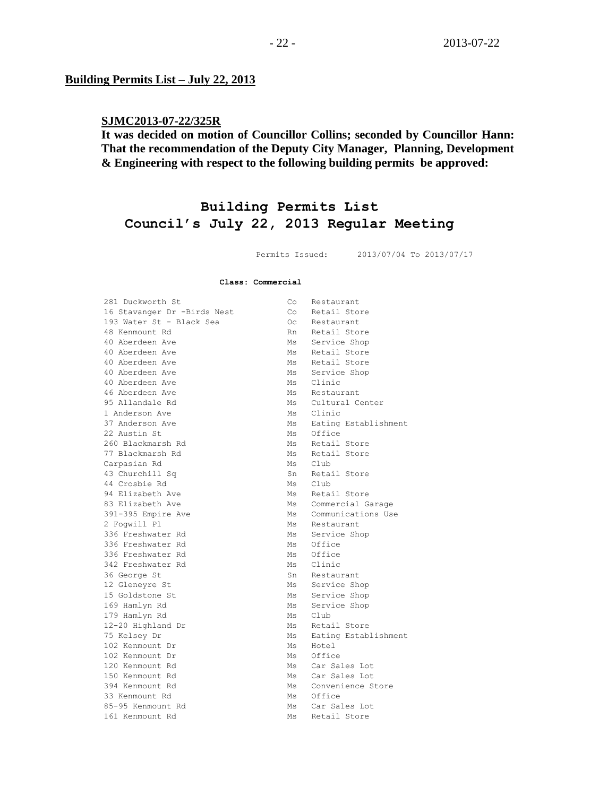#### **Building Permits List – July 22, 2013**

## **SJMC2013-07-22/325R**

## **It was decided on motion of Councillor Collins; seconded by Councillor Hann: That the recommendation of the Deputy City Manager, Planning, Development & Engineering with respect to the following building permits be approved:**

# **Building Permits List Council's July 22, 2013 Regular Meeting**

Permits Issued: 2013/07/04 To 2013/07/17

#### **Class: Commercial**

| 281 Duckworth St            | Co  | Restaurant           |
|-----------------------------|-----|----------------------|
| 16 Stavanger Dr -Birds Nest | Co  | Retail Store         |
| 193 Water St - Black Sea    | Oc. | Restaurant           |
| 48 Kenmount Rd              | Rn  | Retail Store         |
| 40 Aberdeen Ave             | Ms  | Service Shop         |
| 40 Aberdeen Ave             | Ms  | Retail Store         |
| 40 Aberdeen Ave             | Ms  | Retail Store         |
| 40 Aberdeen Ave             | Ms  | Service Shop         |
| 40 Aberdeen Ave             | Ms  | Clinic               |
| 46 Aberdeen Ave             | Ms  | Restaurant           |
| 95 Allandale Rd             | Ms  | Cultural Center      |
| 1 Anderson Ave              | Ms  | Clinic               |
| 37 Anderson Ave             | Ms  | Eating Establishment |
| 22 Austin St                | Ms  | Office               |
| 260 Blackmarsh Rd           | Ms  | Retail Store         |
| 77 Blackmarsh Rd            | Ms  | Retail Store         |
| Carpasian Rd                | Ms  | Club                 |
| 43 Churchill Sq             | Sn  | Retail Store         |
| 44 Crosbie Rd               | Ms  | Club.                |
| 94 Elizabeth Ave            | Ms  | Retail Store         |
| 83 Elizabeth Ave            |     | Ms Commercial Garage |
| 391-395 Empire Ave          | Ms  | Communications Use   |
| 2 Foqwill Pl                | Ms  | Restaurant           |
| 336 Freshwater Rd           | Ms  | Service Shop         |
| 336 Freshwater Rd           | Ms  | Office               |
| 336 Freshwater Rd           | Ms  | Office               |
| 342 Freshwater Rd           | Ms  | Clinic               |
| 36 George St                |     | Sn Restaurant        |
| 12 Gleneyre St              | Ms  | Service Shop         |
| 15 Goldstone St             | Ms  | Service Shop         |
| 169 Hamlyn Rd               | Ms  | Service Shop         |
| 179 Hamlyn Rd               | Ms  | Club                 |
| 12-20 Highland Dr           | Ms  | Retail Store         |
| 75 Kelsey Dr                | Ms  | Eating Establishment |
| 102 Kenmount Dr             | Ms  | Hotel                |
| 102 Kenmount Dr             | Ms  | Office               |
| 120 Kenmount Rd             | Ms  | Car Sales Lot        |
| 150 Kenmount Rd             | Ms  | Car Sales Lot        |
| 394 Kenmount Rd             |     | Ms Convenience Store |
| 33 Kenmount Rd              |     | Ms Office            |
| 85-95 Kenmount Rd           | Ms  | Car Sales Lot        |
| 161 Kenmount Rd             | Ms  | Retail Store         |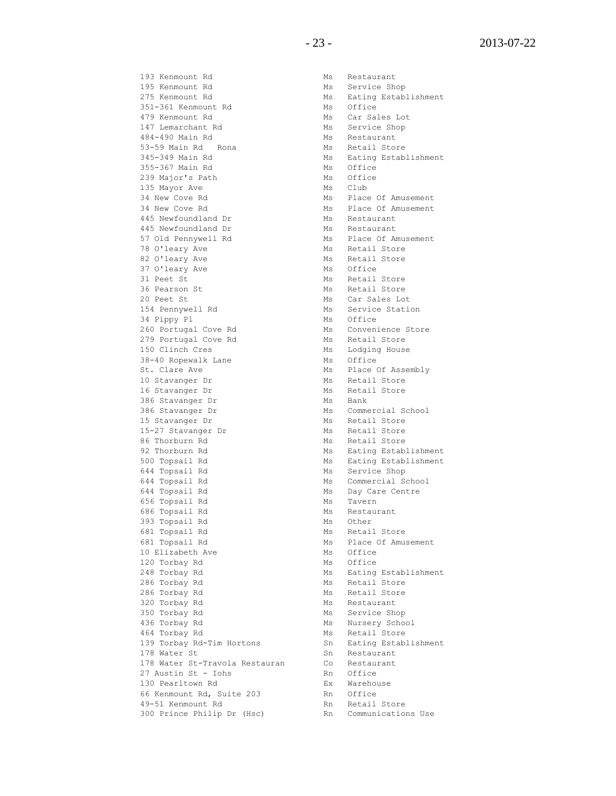193 Kenmount Rd Ms Restaurant 195 Kenmount Rd Ms Service Shop 351-361 Kenmount Rd Ms Office 479 Kenmount Rd Ms Car Sales Lot 147 Lemarchant Rd<br>
Ms
Service Shop 484-490 Main Rd Ms Restaurant 53-59 Main Rd Rona<br>63-59 Main Rd Rona 355-367 Main Rd Ms Office 239 Major's Path Ms Office 135 Mayor Ave Ms Club 34 New Cove Rd Ms Place Of Amusement 34 New Cove Rd Ms Place Of Amusement 445 Newfoundland Dr Ms Restaurant 445 Newfoundland Dr Ms Restaurant 445 Newfoundland Dr Ms Restaurant 57 Old Pennywell Rd Ms Ms Place Of Amusement 78 O'leary Ave Ms Retail Store 82 O'leary Ave Ms Retail Store 37 O'leary Ave Ms Office 31 Peet St Ms Retail Store 31 Feet St<br>36 Pearson St<br>26 Pearson St 20 Peet St Ms Car Sales Lot 154 Pennywell Rd Ms Service Station 34 Pippy Pl<br>
260 Portugal Cove Rd
Ms
Convenience Store
Ms
Convenience Store
Ms
Convenience
Store
Ms
Convenience
260 Portugal
Cove
Rd 260 Portugal Cove Rd Ms Convenience Store 279 Portugal Cove Rd Ms Retail Store 150 Clinch Cres<br>
38-40 Ropewalk Lane<br>
38-40 Ropewalk Lane<br>
Ms Office 38-40 Ropewalk Lane St. Clare Ave Ms Place Of Assembly 10 Stavanger Dr Ms Retail Store 16 Stavanger Dr Ms Retail Store 386 Stavanger Dr Ms Bank 386 Stavanger Dr Ms Commercial School 15 Stavanger Dr Ms Retail Store<br>15-27 Stavanger Dr Ms Retail Store  $15-27$  Stavanger Dr  $\overline{\phantom{0}}$ 86 Thorburn Rd Ms Retail Store er and many contracts and means of the Service Shop Ms Service Shop 644 Topsail Rd Ms Commercial School 644 Topsail Rd Ms Day Care Centre 656 Topsail Rd Ms Tavern 686 Topsail Rd Ms Restaurant 393 Topsail Rd Ms Other 681 Topsail Rd Ms Retail Store 681 Topsail Rd Ms Place Of Amusement 10 Elizabeth Ave Ms Office 120 Torbay Rd Ms Office 286 Torbay Rd<br>286 Torbay Rd<br>286 Torbay Rd 286 Torbay Rd Ms Retail Store 320 Torbay Rd Ms Restaurant 350 Torbay Rd Ms Service Shop 436 Torbay Rd Ms Nursery School 139 Torbay Rd-Tim Hortons 178 Water St Sn Restaurant 178 Water St-Travola Restauran Co Restaurant 27 Austin St - Iohs and Rn Office<br>130 Pearltown Rd and Ex Warehouse 130 Pearltown Rd **EX** Warehouse 66 Kenmount Rd, Suite 203 Rn Office 49-51 Kenmount Rd<br>
Rn Retail Store 300 Prince Philip Dr (Hsc) Rn Communications Use

275 Kenmount Rd Ms Eating Establishment 345-349 Main Rd Ms Eating Establishment 92 Thorburn Rd Ms Eating Establishment 500 Topsail Rd Ms Eating Establishment 248 Torbay Rd Ms Eating Establishment 464 Torbay Rd<br>139 Torbay Rd-Tim Hortons 6 139 Sn<br>139 Torbay Rd-Tim Hortons 6 150 Sn<br>161 Eating Establishment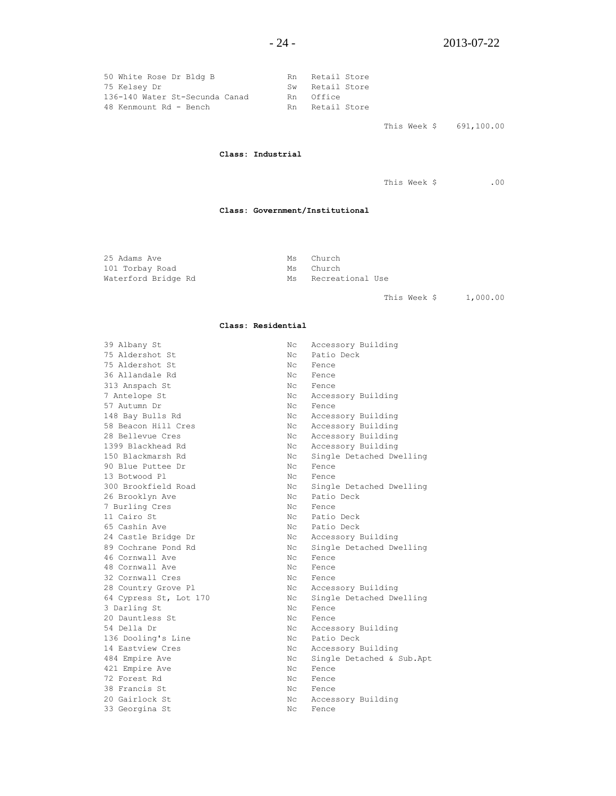| 50 White Rose Dr Bldg B        | Rn Retail Store |
|--------------------------------|-----------------|
| 75 Kelsey Dr                   | Sw Retail Store |
| 136-140 Water St-Secunda Canad | Rn Office       |
| 48 Kenmount Rd - Bench         | Rn Retail Store |

This Week \$ 691,100.00

#### **Class: Industrial**

This Week \$ .00

#### **Class: Government/Institutional**

25 Adams Ave and Ms Church 101 Torbay Road Ms Church

Waterford Bridge Rd Ms Recreational Use

This Week \$ 1,000.00

#### **Class: Residential**

| 39 Albany St           | Nс          | Accessory Building        |
|------------------------|-------------|---------------------------|
| 75 Aldershot St        | Nc.         | Patio Deck                |
| 75 Aldershot St        | Nc.         | Fence                     |
| 36 Allandale Rd        | Nc.         | Fence                     |
| 313 Anspach St         | Nc.         | Fence                     |
| 7 Antelope St          | Nс          | Accessory Building        |
| 57 Autumn Dr           | Nc          | Fence                     |
| 148 Bay Bulls Rd       | Nc.         | Accessory Building        |
| 58 Beacon Hill Cres    | Nc          | Accessory Building        |
| 28 Bellevue Cres       | Nc.         | Accessory Building        |
| 1399 Blackhead Rd      | Nc.         | Accessory Building        |
| 150 Blackmarsh Rd      | Nc.         | Single Detached Dwelling  |
| 90 Blue Puttee Dr      | Nc.         | Fence                     |
| 13 Botwood Pl          | Nc.         | Fence                     |
| 300 Brookfield Road    | Nc.         | Single Detached Dwelling  |
| 26 Brooklyn Ave        | Nc          | Patio Deck                |
| 7 Burling Cres         | Nc          | Fence                     |
| 11 Cairo St            | Nc          | Patio Deck                |
| 65 Cashin Ave          | $N_{\rm C}$ | Patio Deck                |
| 24 Castle Bridge Dr    | $N_{\rm C}$ | Accessory Building        |
| 89 Cochrane Pond Rd    | Nc          | Single Detached Dwelling  |
| 46 Cornwall Ave        | Nc.         | Fence                     |
| 48 Cornwall Ave        | Nc.         | Fence                     |
| 32 Cornwall Cres       | Nc          | Fence                     |
| 28 Country Grove Pl    | Nc          | Accessory Building        |
| 64 Cypress St, Lot 170 | Nc          | Single Detached Dwelling  |
| 3 Darling St           | Nc.         | Fence                     |
| 20 Dauntless St        | Nc.         | Fence                     |
| 54 Della Dr            | Nc          | Accessory Building        |
| 136 Dooling's Line     | Nc          | Patio Deck                |
| 14 Eastview Cres       | Nc          | Accessory Building        |
| 484 Empire Ave         | Nc          | Single Detached & Sub.Apt |
| 421 Empire Ave         | Nc.         | Fence                     |
| 72 Forest Rd           | Nc.         | Fence                     |
| 38 Francis St          | Nc.         | Fence                     |
| 20 Gairlock St         | Nc          | Accessory Building        |
| 33 Georgina St         | Nc.         | Fence                     |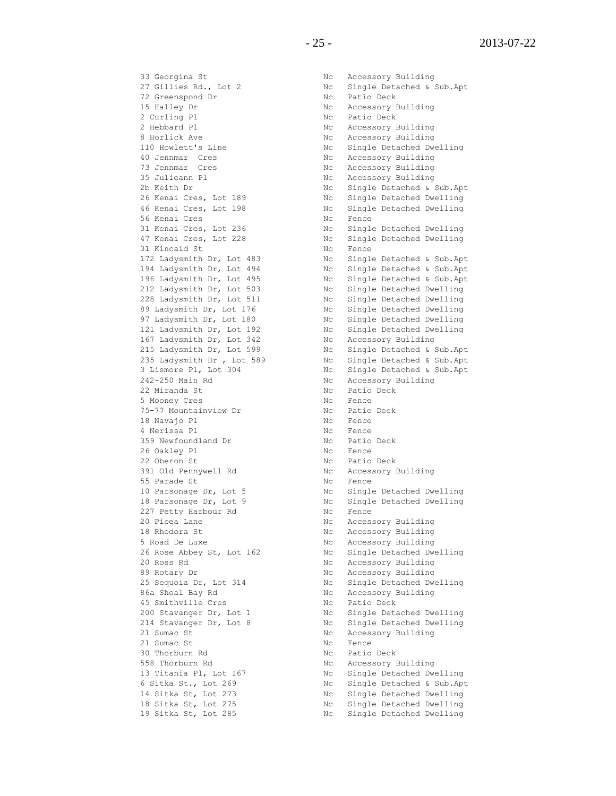33 Georgina St Nc Accessory Building 33 Georgina St<br>27 Gillies Rd., Lot 2<br>72 Greenspond Dr<br>William 15 Halley Dr Nc Accessory Building 2 Curling Pl Nc Patio Deck 2 Hebbard Pl **No. 1988** Nc Accessory Building 8 Horlick Ave **No. 2018** Nc Accessory Building 40 Jennmar Cres No. 1986 No. Accessory Building 73 Jennmar Cres No. 2016 No. Accessory Building 35 Julieann Pl Nc Accessory Building 56 Kenai Cres No. 2006 No. 2010 31 Kincaid St No Rence 167 Ladysmith Dr, Lot 342 Nc Accessory Building 242-250 Main Rd No Recessory Building 22 Miranda St Nc Patio Deck 5 Mooney Cres No. 2006 No. 2010 75-77 Mountainview Dr No Ratio Deck<br>19 November 10 18 Navajo Pl<br/>
18 Navajo Pl $$\tt NC$$  Fence 4 Nerissa Pl $$\tt NC$$  Fence Repub<br/>i $$\tt NC$$  Fence  $$\tt NC$$ 4 Nerissa Pl 1996 1997 No Fence 359 Newfoundland Dr No Ratio Deck 26 Oakley Pl and the Communication of the Tence 22 Oberon St Nc Patio Deck 391 Old Pennywell Rd Nc Accessory Building 55 Parade St Nc Fence 227 Petty Harbour Rd Nc Fence 20 Picea Lane No. 20 Picea Lane 18 Rhodora St Nc Accessory Building 5 Road De Luxe No. 1996 No. 1997 No. 2012 No. 2013 20 Ross Rd Nc Accessory Building 89 Rotary Dr Nc Accessory Building 86a Shoal Bay Rd No National Bay Robert References No Accessory Building 45 Smithville Cres<br>
200 Stavanger Dr, Lot 1 Nc Single Deta<br>
214 Stavanger Dr, Lot 8 Nc Single Deta<br>
214 Stavanger Dr, Lot 8 Nc Single Deta<br>
21 21 Sumac St Nc Accessory Building<br>21 Sumac St Nc Fence 21 Sumac St Nc Fence 30 Thorburn Rd No Nc Patio Deck 558 Thorburn Rd No Reader's Notice Accessory Building

Nc Single Detached & Sub.Apt<br>Nc Patio Deck 110 Howlett's Line 110 Howlett's Line 110 Howley No. 2010 2b Keith Dr Nc Single Detached & Sub.Apt 26 Kenai Cres, Lot 189 Nc Single Detached Dwelling 46 Kenai Cres, Lot 198 Nc Single Detached Dwelling 31 Kenai Cres, Lot 236 Nc Single Detached Dwelling 47 Kenai Cres, Lot 228 Nc Single Detached Dwelling 172 Ladysmith Dr, Lot 483 Nc Single Detached & Sub.Apt 194 Ladysmith Dr, Lot 494 Nc Single Detached & Sub.Apt 196 Ladysmith Dr, Lot 495 Nc Single Detached & Sub.Apt 212 Ladysmith Dr, Lot 503 Nc Single Detached Dwelling 228 Ladysmith Dr, Lot 511 Nc Single Detached Dwelling 89 Ladysmith Dr, Lot 176 Nc Single Detached Dwelling 97 Ladysmith Dr, Lot 180 Nc Single Detached Dwelling 121 Ladysmith Dr, Lot 192 Nc Single Detached Dwelling 215 Ladysmith Dr, Lot 599 Nc Single Detached & Sub.Apt 235 Ladysmith Dr , Lot 589 Nc Single Detached & Sub.Apt 3 Lismore Pl, Lot 304 Nc Single Detached & Sub.Apt 10 Parsonage Dr, Lot 5 Nc Single Detached Dwelling 18 Parsonage Dr, Lot 9 Nc Single Detached Dwelling 26 Rose Abbey St, Lot 162 Nc Single Detached Dwelling 25 Sequoia Dr, Lot 314 Nc Single Detached Dwelling 200 Stavanger Dr, Lot 1 Nc Single Detached Dwelling 214 Stavanger Dr, Lot 8 Nc Single Detached Dwelling 13 Titania Pl, Lot 167 Nc Single Detached Dwelling 6 Sitka St., Lot 269 Nc Single Detached & Sub.Apt 14 Sitka St, Lot 273 Nc Single Detached Dwelling 18 Sitka St, Lot 275 Nc Single Detached Dwelling 19 Sitka St, Lot 285 Nc Single Detached Dwelling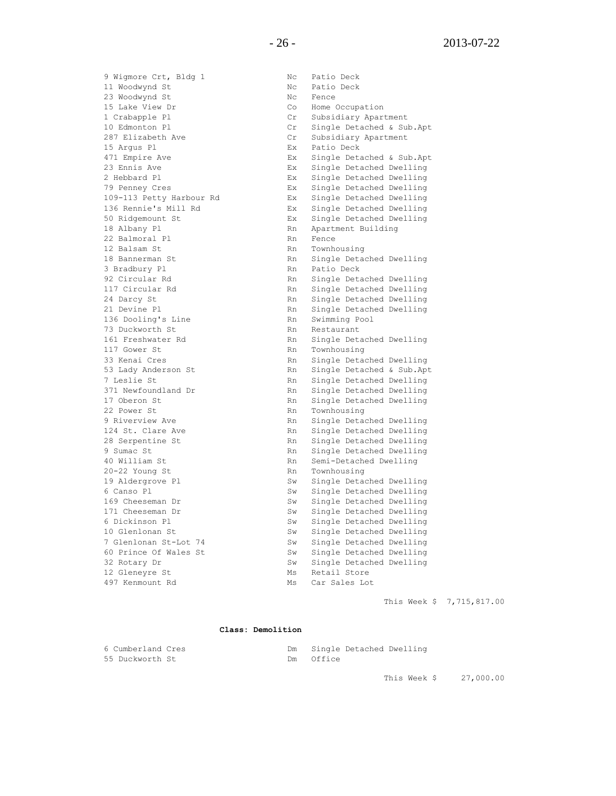9 Wigmore Crt, Bldg 1 Nc Patio Deck 11 Woodwynd St 10 ac 10 Nc Patio Deck 23 Woodwynd St No Rence 15 Lake View Dr Co Home Occupation 1 Crabapple Pl Cr Subsidiary Apartment 10 Edmonton Pl Cr Single Detached & Sub.Apt 287 Elizabeth Ave Cr Subsidiary Apartment 15 Argus Pl Ex Patio Deck 471 Empire Ave Ex Single Detached & Sub.Apt 23 Ennis Ave Ex Single Detached Dwelling 2 Hebbard Pl Ex Single Detached Dwelling 79 Penney Cres Ex Single Detached Dwelling 109-113 Petty Harbour Rd Ex Single Detached Dwelling 136 Rennie's Mill Rd Ex Single Detached Dwelling 50 Ridgemount St Ex Single Detached Dwelling 18 Albany Pl 18 Albany Pl 18 Albany Pl 18 Albany Pl 18 Apartment Building<br>22 Balmoral Pl 18 Rn Rence 22 Balmoral Pl 12 Balsam St Rn Townhousing 18 Bannerman St Rn Single Detached Dwelling 3 Bradbury Pl **Rn** Patio Deck 92 Circular Rd **Rn** Single Detached Dwelling 117 Circular Rd **Rn** Single Detached Dwelling 24 Darcy St Rn Single Detached Dwelling 21 Devine Pl<br>
21 Devine Pl<br>
236 Dooling's Line<br>
236 November 2021 Rn<br>
236 November 2021 Rn<br>
24 November 2021 Rn<br>
24 November 2021 Rn<br>
25 November 2021 Rn<br>
26 November 2021 Rn<br>
26 November 2021 Rn<br>
26 November 2021 Rn<br>
26 N 136 Dooling's Line<br>Ro Swelwooth St 73 Duckworth St Rn Restaurant 161 Freshwater Rd **Rn** Single Detached Dwelling 117 Gower St **Rn** Townhousing 33 Kenai Cres Rn Single Detached Dwelling<br>53 Lady Anderson St Single Detached & Sub.Apt 53 Lady Anderson St 7 Leslie St **Rn** Single Detached Dwelling The Single Detached Dwelling<br>371 Newfoundland Dr Rn Single Detached Dwelling 17 Oberon St Rn Single Detached Dwelling 22 Power St Rn Townhousing 9 Riverview Ave Rn Single Detached Dwelling<br>124 St. Clare Ave Rn Single Detached Dwelling<br>28 Serpentine St Rn Single Detached Dwelling 28 Serpentine St **RAN Single Detached Dwelling** 9 Sumac St **Rn** Single Detached Dwelling 40 William St Rn Semi-Detached Dwelling 20-22 Young St Rn Townhousing 19 Aldergrove Pl Sw Single Detached Dwelling 6 Canso Pl Sw Single Detached Dwelling 169 Cheeseman Dr<br>
171 Cheeseman Dr<br>
171 Cheeseman Dr<br>
171 Cheeseman Dr<br>
18 Sw Single Detached Dwelling<br>
10 Clarling<br>
10 Clarling 10 Glenlonan St<br>
10 Glenlonan St-Lot 74<br>
10 Glenlonan St-Lot 74<br>
5w Single Detached Dwelling<br>
50 Prince Of Wales St<br>
5w Single Detached Dwelling<br>
32 Rotary Dr<br>
5w Single Detached Dwelling<br>
5w Single Detached Dwelling 7 Glenlonan St-Lot 74 Sw Single Detached Dwelling 60 Prince Of Wales St Sw Single Detached Dwelling 32 Rotary Dr Sw Single Detached Dwelling

Rn Single Detached Dwelling Sw Single Detached Dwelling Sw Single Detached Dwelling 12 Gleneyre St Ms Retail Store and The Manus Car Sales Lot Manus Car Sales Lot

This Week \$ 7,715,817.00

#### **Class: Demolition**

| 6 Cumberland Cres | Single Detached Dwelling |
|-------------------|--------------------------|
| 55 Duckworth St   | Dm Office                |

This Week \$ 27,000.00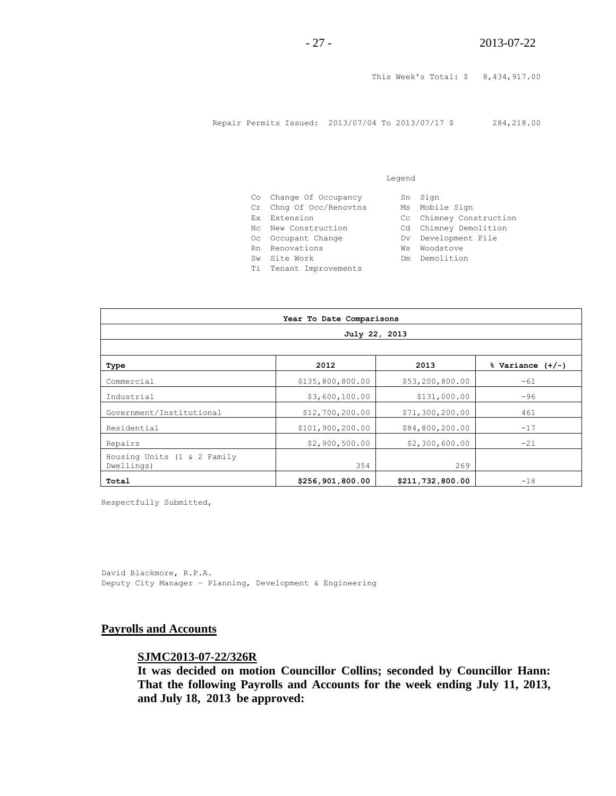This Week's Total: \$ 8,434,917.00

Repair Permits Issued: 2013/07/04 To 2013/07/17 \$ 284,218.00

|     | Co Change Of Occupancy  | Sn | Sign                    |
|-----|-------------------------|----|-------------------------|
|     | Cr Chng Of Occ/Renovtns | Ms | Mobile Sign             |
|     | Ex Extension            |    | Cc Chimney Construction |
|     | No. New Construction    |    | Cd Chimney Demolition   |
|     | Oc Occupant Change      |    | Dv Development File     |
|     | Rn Renovations          | Ws | Woodstove               |
| Sw. | Site Work               | Dm | Demolition              |
| Ti  | Tenant Improvements     |    |                         |

Legend

| Year To Date Comparisons                  |                  |                  |                      |  |
|-------------------------------------------|------------------|------------------|----------------------|--|
| July 22, 2013                             |                  |                  |                      |  |
|                                           |                  |                  |                      |  |
| Type                                      | 2012             | 2013             | $%$ Variance $(+/-)$ |  |
| Commercial                                | \$135,800,800.00 | \$53,200,800.00  | $-61$                |  |
| Industrial                                | \$3,600,100.00   | \$131,000.00     | $-96$                |  |
| Government/Institutional                  | \$12,700,200.00  | \$71,300,200.00  | 461                  |  |
| Residential                               | \$101,900,200.00 | \$84,800,200.00  | $-17$                |  |
| Repairs                                   | \$2,900,500.00   | \$2,300,600.00   | $-21$                |  |
| Housing Units (1 & 2 Family<br>Dwellings) | 354              | 269              |                      |  |
| Total                                     | \$256,901,800.00 | \$211,732,800.00 | $-18$                |  |

Respectfully Submitted,

David Blackmore, R.P.A. Deputy City Manager – Planning, Development & Engineering

#### **Payrolls and Accounts**

#### **SJMC2013-07-22/326R**

**It was decided on motion Councillor Collins; seconded by Councillor Hann: That the following Payrolls and Accounts for the week ending July 11, 2013, and July 18, 2013 be approved:**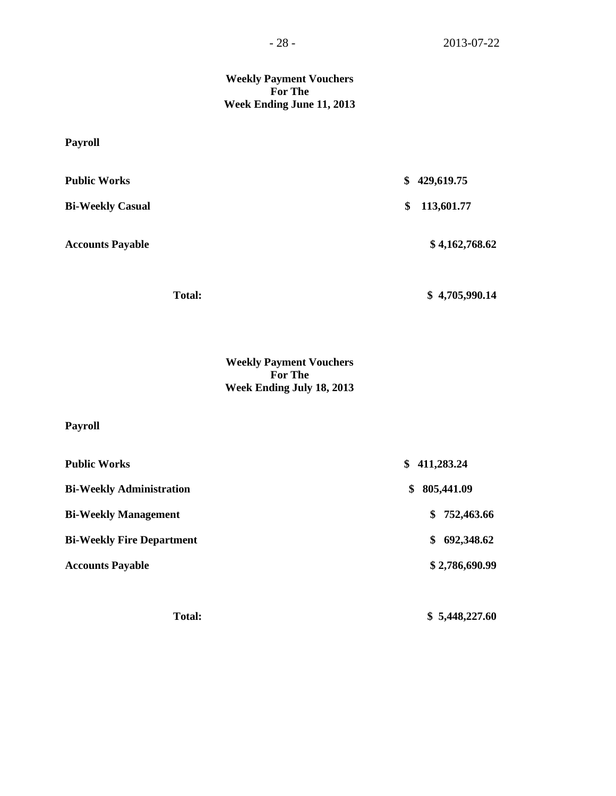#### **Weekly Payment Vouchers For The Week Ending June 11, 2013**

## **Payroll**

| <b>Public Works</b>     | 429,619.75<br>\$ |
|-------------------------|------------------|
| <b>Bi-Weekly Casual</b> | 113,601.77<br>\$ |
| <b>Accounts Payable</b> | \$4,162,768.62   |
| <b>Total:</b>           | \$4,705,990.14   |

**Weekly Payment Vouchers For The Week Ending July 18, 2013**

## **Payroll**

| <b>Public Works</b>              | 411,283.24<br>S.  |
|----------------------------------|-------------------|
| <b>Bi-Weekly Administration</b>  | 805,441.09<br>S.  |
| <b>Bi-Weekly Management</b>      | \$752,463.66      |
| <b>Bi-Weekly Fire Department</b> | 692,348.62<br>\$. |
| <b>Accounts Payable</b>          | \$2,786,690.99    |
|                                  |                   |

 **Total: \$ 5,448,227.60**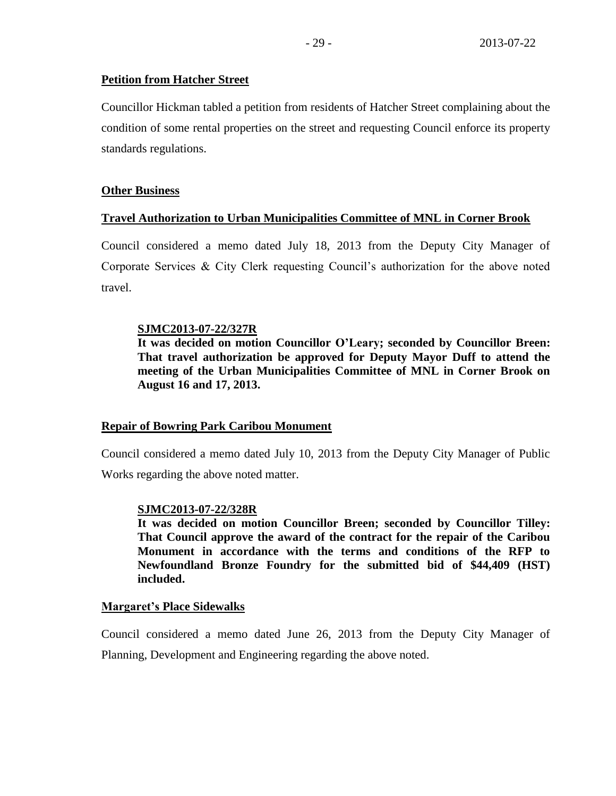## **Petition from Hatcher Street**

Councillor Hickman tabled a petition from residents of Hatcher Street complaining about the condition of some rental properties on the street and requesting Council enforce its property standards regulations.

## **Other Business**

## **Travel Authorization to Urban Municipalities Committee of MNL in Corner Brook**

Council considered a memo dated July 18, 2013 from the Deputy City Manager of Corporate Services & City Clerk requesting Council's authorization for the above noted travel.

## **SJMC2013-07-22/327R**

**It was decided on motion Councillor O'Leary; seconded by Councillor Breen: That travel authorization be approved for Deputy Mayor Duff to attend the meeting of the Urban Municipalities Committee of MNL in Corner Brook on August 16 and 17, 2013.** 

## **Repair of Bowring Park Caribou Monument**

Council considered a memo dated July 10, 2013 from the Deputy City Manager of Public Works regarding the above noted matter.

## **SJMC2013-07-22/328R**

**It was decided on motion Councillor Breen; seconded by Councillor Tilley: That Council approve the award of the contract for the repair of the Caribou Monument in accordance with the terms and conditions of the RFP to Newfoundland Bronze Foundry for the submitted bid of \$44,409 (HST) included.**

## **Margaret's Place Sidewalks**

Council considered a memo dated June 26, 2013 from the Deputy City Manager of Planning, Development and Engineering regarding the above noted.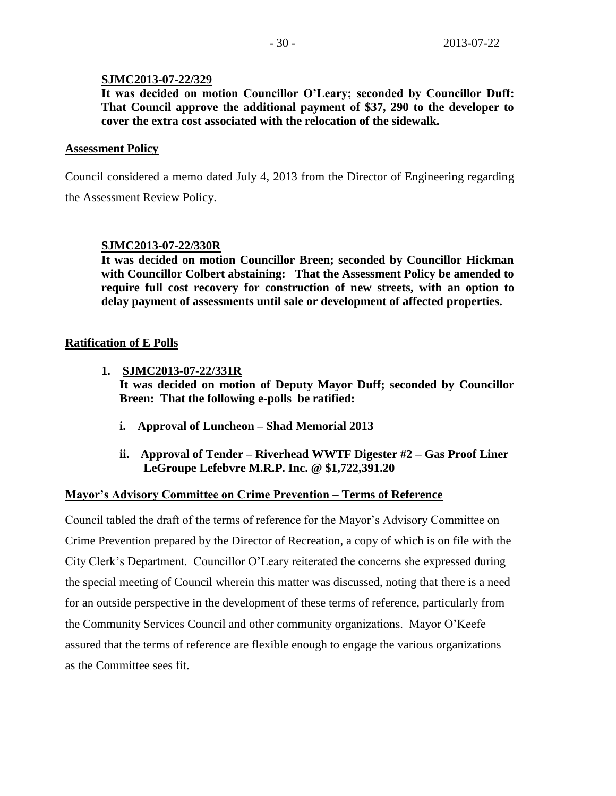#### **SJMC2013-07-22/329**

**It was decided on motion Councillor O'Leary; seconded by Councillor Duff: That Council approve the additional payment of \$37, 290 to the developer to cover the extra cost associated with the relocation of the sidewalk.**

#### **Assessment Policy**

Council considered a memo dated July 4, 2013 from the Director of Engineering regarding

the Assessment Review Policy.

## **SJMC2013-07-22/330R**

**It was decided on motion Councillor Breen; seconded by Councillor Hickman with Councillor Colbert abstaining: That the Assessment Policy be amended to require full cost recovery for construction of new streets, with an option to delay payment of assessments until sale or development of affected properties.**

## **Ratification of E Polls**

**1. SJMC2013-07-22/331R**

**It was decided on motion of Deputy Mayor Duff; seconded by Councillor Breen: That the following e-polls be ratified:**

- **i. Approval of Luncheon – Shad Memorial 2013**
- **ii. Approval of Tender – Riverhead WWTF Digester #2 – Gas Proof Liner LeGroupe Lefebvre M.R.P. Inc. @ \$1,722,391.20**

## **Mayor's Advisory Committee on Crime Prevention – Terms of Reference**

Council tabled the draft of the terms of reference for the Mayor's Advisory Committee on Crime Prevention prepared by the Director of Recreation, a copy of which is on file with the City Clerk's Department. Councillor O'Leary reiterated the concerns she expressed during the special meeting of Council wherein this matter was discussed, noting that there is a need for an outside perspective in the development of these terms of reference, particularly from the Community Services Council and other community organizations. Mayor O'Keefe assured that the terms of reference are flexible enough to engage the various organizations as the Committee sees fit.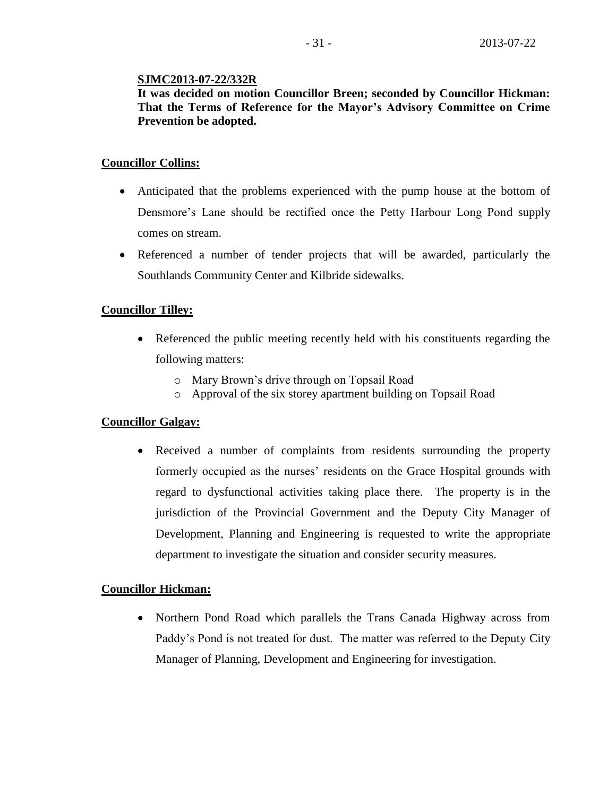#### **SJMC2013-07-22/332R**

**It was decided on motion Councillor Breen; seconded by Councillor Hickman: That the Terms of Reference for the Mayor's Advisory Committee on Crime Prevention be adopted.**

## **Councillor Collins:**

- Anticipated that the problems experienced with the pump house at the bottom of Densmore's Lane should be rectified once the Petty Harbour Long Pond supply comes on stream.
- Referenced a number of tender projects that will be awarded, particularly the Southlands Community Center and Kilbride sidewalks.

## **Councillor Tilley:**

- Referenced the public meeting recently held with his constituents regarding the following matters:
	- o Mary Brown's drive through on Topsail Road
	- o Approval of the six storey apartment building on Topsail Road

## **Councillor Galgay:**

 Received a number of complaints from residents surrounding the property formerly occupied as the nurses' residents on the Grace Hospital grounds with regard to dysfunctional activities taking place there. The property is in the jurisdiction of the Provincial Government and the Deputy City Manager of Development, Planning and Engineering is requested to write the appropriate department to investigate the situation and consider security measures.

## **Councillor Hickman:**

• Northern Pond Road which parallels the Trans Canada Highway across from Paddy's Pond is not treated for dust. The matter was referred to the Deputy City Manager of Planning, Development and Engineering for investigation.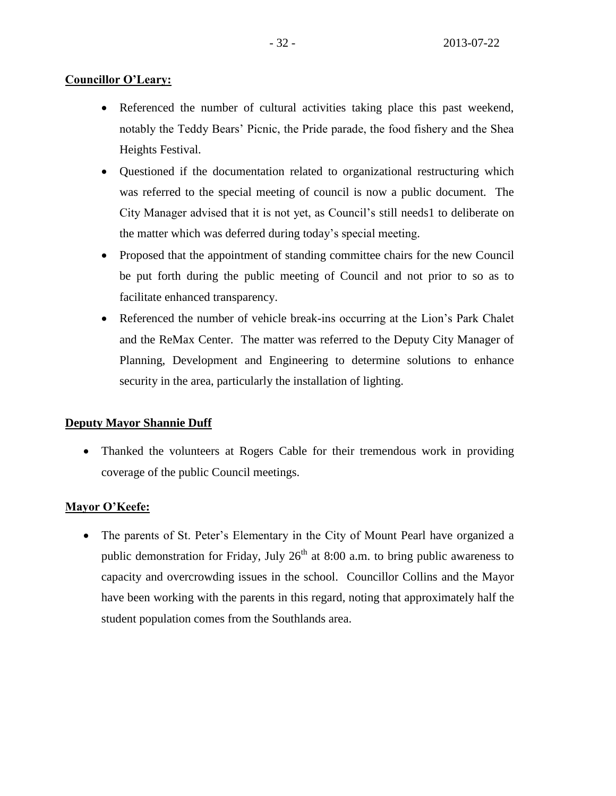## **Councillor O'Leary:**

- Referenced the number of cultural activities taking place this past weekend, notably the Teddy Bears' Picnic, the Pride parade, the food fishery and the Shea Heights Festival.
- Questioned if the documentation related to organizational restructuring which was referred to the special meeting of council is now a public document. The City Manager advised that it is not yet, as Council's still needs1 to deliberate on the matter which was deferred during today's special meeting.
- Proposed that the appointment of standing committee chairs for the new Council be put forth during the public meeting of Council and not prior to so as to facilitate enhanced transparency.
- Referenced the number of vehicle break-ins occurring at the Lion's Park Chalet and the ReMax Center. The matter was referred to the Deputy City Manager of Planning, Development and Engineering to determine solutions to enhance security in the area, particularly the installation of lighting.

## **Deputy Mayor Shannie Duff**

• Thanked the volunteers at Rogers Cable for their tremendous work in providing coverage of the public Council meetings.

## **Mayor O'Keefe:**

• The parents of St. Peter's Elementary in the City of Mount Pearl have organized a public demonstration for Friday, July  $26<sup>th</sup>$  at 8:00 a.m. to bring public awareness to capacity and overcrowding issues in the school. Councillor Collins and the Mayor have been working with the parents in this regard, noting that approximately half the student population comes from the Southlands area.